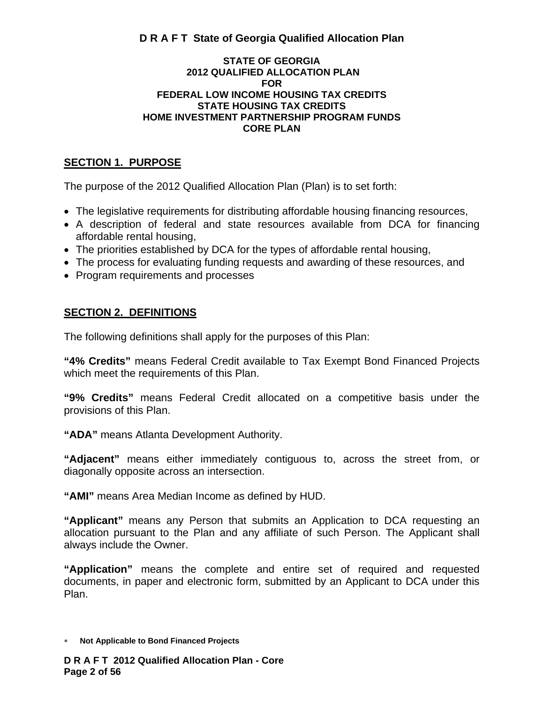#### **STATE OF GEORGIA 2012 QUALIFIED ALLOCATION PLAN FOR FEDERAL LOW INCOME HOUSING TAX CREDITS STATE HOUSING TAX CREDITS HOME INVESTMENT PARTNERSHIP PROGRAM FUNDS CORE PLAN**

# **SECTION 1. PURPOSE**

The purpose of the 2012 Qualified Allocation Plan (Plan) is to set forth:

- The legislative requirements for distributing affordable housing financing resources,
- A description of federal and state resources available from DCA for financing affordable rental housing,
- The priorities established by DCA for the types of affordable rental housing,
- The process for evaluating funding requests and awarding of these resources, and
- Program requirements and processes

# **SECTION 2. DEFINITIONS**

The following definitions shall apply for the purposes of this Plan:

**"4% Credits"** means Federal Credit available to Tax Exempt Bond Financed Projects which meet the requirements of this Plan.

**"9% Credits"** means Federal Credit allocated on a competitive basis under the provisions of this Plan.

**"ADA"** means Atlanta Development Authority.

**"Adjacent"** means either immediately contiguous to, across the street from, or diagonally opposite across an intersection.

**"AMI"** means Area Median Income as defined by HUD.

**"Applicant"** means any Person that submits an Application to DCA requesting an allocation pursuant to the Plan and any affiliate of such Person. The Applicant shall always include the Owner.

**"Application"** means the complete and entire set of required and requested documents, in paper and electronic form, submitted by an Applicant to DCA under this Plan.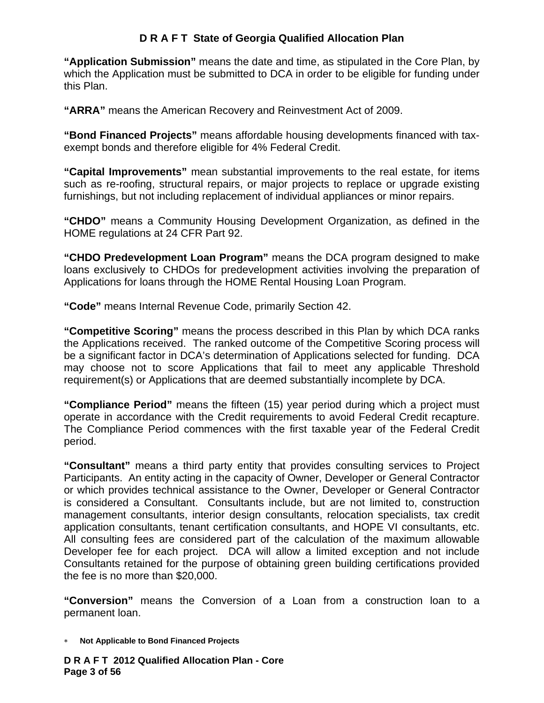**"Application Submission"** means the date and time, as stipulated in the Core Plan, by which the Application must be submitted to DCA in order to be eligible for funding under this Plan.

**"ARRA"** means the American Recovery and Reinvestment Act of 2009.

**"Bond Financed Projects"** means affordable housing developments financed with taxexempt bonds and therefore eligible for 4% Federal Credit.

**"Capital Improvements"** mean substantial improvements to the real estate, for items such as re-roofing, structural repairs, or major projects to replace or upgrade existing furnishings, but not including replacement of individual appliances or minor repairs.

**"CHDO"** means a Community Housing Development Organization, as defined in the HOME regulations at 24 CFR Part 92.

**"CHDO Predevelopment Loan Program"** means the DCA program designed to make loans exclusively to CHDOs for predevelopment activities involving the preparation of Applications for loans through the HOME Rental Housing Loan Program.

**"Code"** means Internal Revenue Code, primarily Section 42.

**"Competitive Scoring"** means the process described in this Plan by which DCA ranks the Applications received. The ranked outcome of the Competitive Scoring process will be a significant factor in DCA's determination of Applications selected for funding. DCA may choose not to score Applications that fail to meet any applicable Threshold requirement(s) or Applications that are deemed substantially incomplete by DCA.

**"Compliance Period"** means the fifteen (15) year period during which a project must operate in accordance with the Credit requirements to avoid Federal Credit recapture. The Compliance Period commences with the first taxable year of the Federal Credit period.

**"Consultant"** means a third party entity that provides consulting services to Project Participants. An entity acting in the capacity of Owner, Developer or General Contractor or which provides technical assistance to the Owner, Developer or General Contractor is considered a Consultant. Consultants include, but are not limited to, construction management consultants, interior design consultants, relocation specialists, tax credit application consultants, tenant certification consultants, and HOPE VI consultants, etc. All consulting fees are considered part of the calculation of the maximum allowable Developer fee for each project. DCA will allow a limited exception and not include Consultants retained for the purpose of obtaining green building certifications provided the fee is no more than \$20,000.

**"Conversion"** means the Conversion of a Loan from a construction loan to a permanent loan.

∗ **Not Applicable to Bond Financed Projects** 

**D R A F T 2012 Qualified Allocation Plan - Core Page 3 of 56**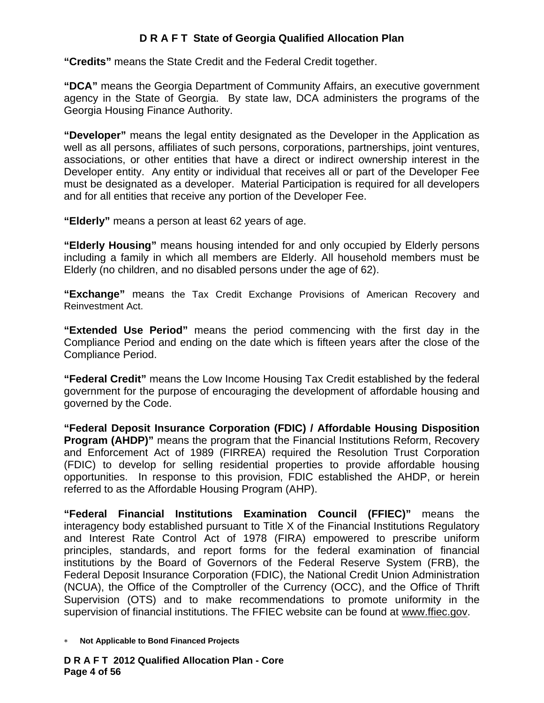**"Credits"** means the State Credit and the Federal Credit together.

**"DCA"** means the Georgia Department of Community Affairs, an executive government agency in the State of Georgia. By state law, DCA administers the programs of the Georgia Housing Finance Authority.

**"Developer"** means the legal entity designated as the Developer in the Application as well as all persons, affiliates of such persons, corporations, partnerships, joint ventures, associations, or other entities that have a direct or indirect ownership interest in the Developer entity. Any entity or individual that receives all or part of the Developer Fee must be designated as a developer. Material Participation is required for all developers and for all entities that receive any portion of the Developer Fee.

**"Elderly"** means a person at least 62 years of age.

**"Elderly Housing"** means housing intended for and only occupied by Elderly persons including a family in which all members are Elderly. All household members must be Elderly (no children, and no disabled persons under the age of 62).

**"Exchange"** means the Tax Credit Exchange Provisions of American Recovery and Reinvestment Act.

**"Extended Use Period"** means the period commencing with the first day in the Compliance Period and ending on the date which is fifteen years after the close of the Compliance Period.

**"Federal Credit"** means the Low Income Housing Tax Credit established by the federal government for the purpose of encouraging the development of affordable housing and governed by the Code.

**"Federal Deposit Insurance Corporation (FDIC) / Affordable Housing Disposition Program (AHDP)"** means the program that the Financial Institutions Reform, Recovery and Enforcement Act of 1989 (FIRREA) required the Resolution Trust Corporation (FDIC) to develop for selling residential properties to provide affordable housing opportunities. In response to this provision, FDIC established the AHDP, or herein referred to as the Affordable Housing Program (AHP).

**"Federal Financial Institutions Examination Council (FFIEC)"** means the interagency body established pursuant to Title X of the Financial Institutions Regulatory and Interest Rate Control Act of 1978 (FIRA) empowered to prescribe uniform principles, standards, and report forms for the federal examination of financial institutions by the Board of Governors of the Federal Reserve System (FRB), the Federal Deposit Insurance Corporation (FDIC), the National Credit Union Administration (NCUA), the Office of the Comptroller of the Currency (OCC), and the Office of Thrift Supervision (OTS) and to make recommendations to promote uniformity in the supervision of financial institutions. The FFIEC website can be found at www.ffiec.gov.

<sup>∗</sup> **Not Applicable to Bond Financed Projects**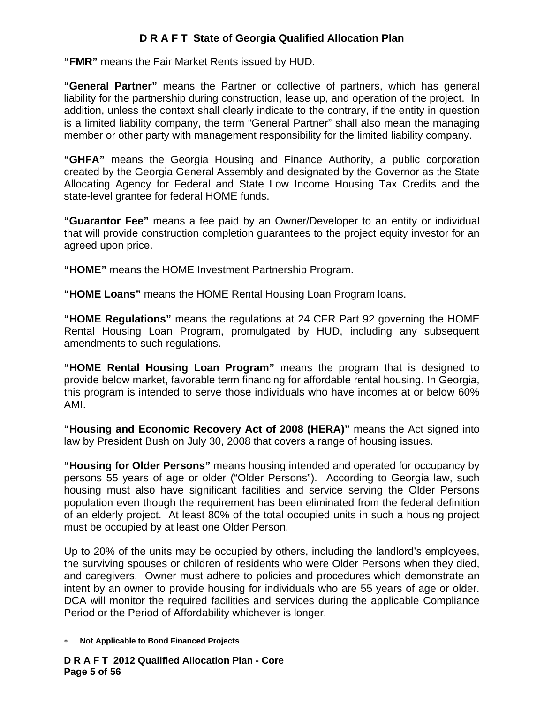**"FMR"** means the Fair Market Rents issued by HUD.

**"General Partner"** means the Partner or collective of partners, which has general liability for the partnership during construction, lease up, and operation of the project. In addition, unless the context shall clearly indicate to the contrary, if the entity in question is a limited liability company, the term "General Partner" shall also mean the managing member or other party with management responsibility for the limited liability company.

**"GHFA"** means the Georgia Housing and Finance Authority, a public corporation created by the Georgia General Assembly and designated by the Governor as the State Allocating Agency for Federal and State Low Income Housing Tax Credits and the state-level grantee for federal HOME funds.

**"Guarantor Fee"** means a fee paid by an Owner/Developer to an entity or individual that will provide construction completion guarantees to the project equity investor for an agreed upon price.

**"HOME"** means the HOME Investment Partnership Program.

**"HOME Loans"** means the HOME Rental Housing Loan Program loans.

**"HOME Regulations"** means the regulations at 24 CFR Part 92 governing the HOME Rental Housing Loan Program, promulgated by HUD, including any subsequent amendments to such regulations.

**"HOME Rental Housing Loan Program"** means the program that is designed to provide below market, favorable term financing for affordable rental housing. In Georgia, this program is intended to serve those individuals who have incomes at or below 60% AMI.

**"Housing and Economic Recovery Act of 2008 (HERA)"** means the Act signed into law by President Bush on July 30, 2008 that covers a range of housing issues.

**"Housing for Older Persons"** means housing intended and operated for occupancy by persons 55 years of age or older ("Older Persons"). According to Georgia law, such housing must also have significant facilities and service serving the Older Persons population even though the requirement has been eliminated from the federal definition of an elderly project. At least 80% of the total occupied units in such a housing project must be occupied by at least one Older Person.

Up to 20% of the units may be occupied by others, including the landlord's employees, the surviving spouses or children of residents who were Older Persons when they died, and caregivers. Owner must adhere to policies and procedures which demonstrate an intent by an owner to provide housing for individuals who are 55 years of age or older. DCA will monitor the required facilities and services during the applicable Compliance Period or the Period of Affordability whichever is longer.

∗ **Not Applicable to Bond Financed Projects** 

**D R A F T 2012 Qualified Allocation Plan - Core Page 5 of 56**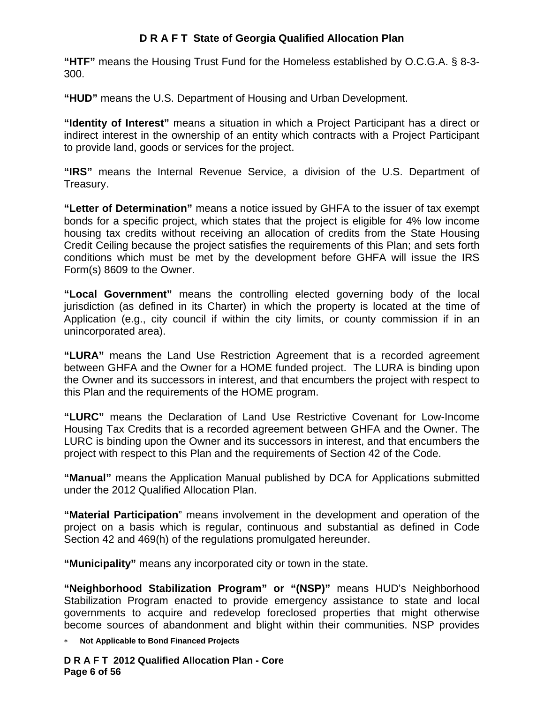**"HTF"** means the Housing Trust Fund for the Homeless established by O.C.G.A. § 8-3- 300.

**"HUD"** means the U.S. Department of Housing and Urban Development.

**"Identity of Interest"** means a situation in which a Project Participant has a direct or indirect interest in the ownership of an entity which contracts with a Project Participant to provide land, goods or services for the project.

**"IRS"** means the Internal Revenue Service, a division of the U.S. Department of Treasury.

**"Letter of Determination"** means a notice issued by GHFA to the issuer of tax exempt bonds for a specific project, which states that the project is eligible for 4% low income housing tax credits without receiving an allocation of credits from the State Housing Credit Ceiling because the project satisfies the requirements of this Plan; and sets forth conditions which must be met by the development before GHFA will issue the IRS Form(s) 8609 to the Owner.

**"Local Government"** means the controlling elected governing body of the local jurisdiction (as defined in its Charter) in which the property is located at the time of Application (e.g., city council if within the city limits, or county commission if in an unincorporated area).

**"LURA"** means the Land Use Restriction Agreement that is a recorded agreement between GHFA and the Owner for a HOME funded project. The LURA is binding upon the Owner and its successors in interest, and that encumbers the project with respect to this Plan and the requirements of the HOME program.

**"LURC"** means the Declaration of Land Use Restrictive Covenant for Low-Income Housing Tax Credits that is a recorded agreement between GHFA and the Owner. The LURC is binding upon the Owner and its successors in interest, and that encumbers the project with respect to this Plan and the requirements of Section 42 of the Code.

**"Manual"** means the Application Manual published by DCA for Applications submitted under the 2012 Qualified Allocation Plan.

**"Material Participation**" means involvement in the development and operation of the project on a basis which is regular, continuous and substantial as defined in Code Section 42 and 469(h) of the regulations promulgated hereunder.

**"Municipality"** means any incorporated city or town in the state.

**"Neighborhood Stabilization Program" or "(NSP)"** means HUD's Neighborhood Stabilization Program enacted to provide emergency assistance to state and local governments to acquire and redevelop foreclosed properties that might otherwise become sources of abandonment and blight within their communities. NSP provides

∗ **Not Applicable to Bond Financed Projects** 

**D R A F T 2012 Qualified Allocation Plan - Core Page 6 of 56**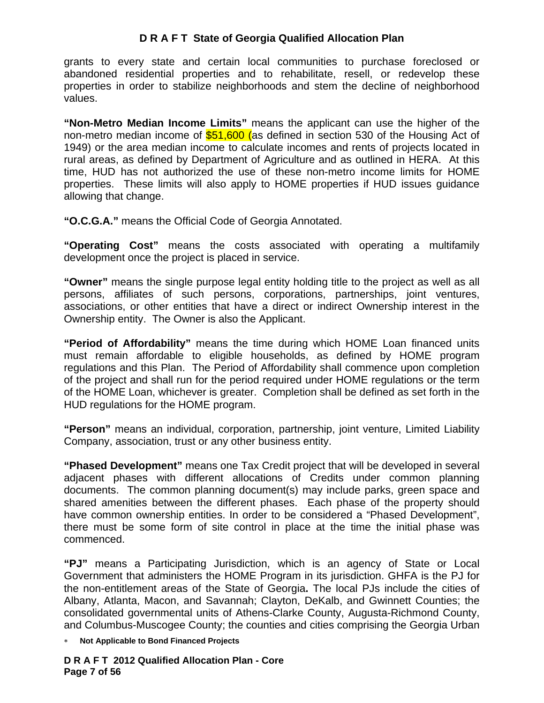grants to every state and certain local communities to purchase foreclosed or abandoned residential properties and to rehabilitate, resell, or redevelop these properties in order to stabilize neighborhoods and stem the decline of neighborhood values.

**"Non-Metro Median Income Limits"** means the applicant can use the higher of the non-metro median income of **\$51,600 (as defined in section 530 of the Housing Act of** 1949) or the area median income to calculate incomes and rents of projects located in rural areas, as defined by Department of Agriculture and as outlined in HERA. At this time, HUD has not authorized the use of these non-metro income limits for HOME properties. These limits will also apply to HOME properties if HUD issues guidance allowing that change.

**"O.C.G.A."** means the Official Code of Georgia Annotated.

**"Operating Cost"** means the costs associated with operating a multifamily development once the project is placed in service.

**"Owner"** means the single purpose legal entity holding title to the project as well as all persons, affiliates of such persons, corporations, partnerships, joint ventures, associations, or other entities that have a direct or indirect Ownership interest in the Ownership entity. The Owner is also the Applicant.

**"Period of Affordability"** means the time during which HOME Loan financed units must remain affordable to eligible households, as defined by HOME program regulations and this Plan. The Period of Affordability shall commence upon completion of the project and shall run for the period required under HOME regulations or the term of the HOME Loan, whichever is greater. Completion shall be defined as set forth in the HUD regulations for the HOME program.

**"Person"** means an individual, corporation, partnership, joint venture, Limited Liability Company, association, trust or any other business entity.

**"Phased Development"** means one Tax Credit project that will be developed in several adjacent phases with different allocations of Credits under common planning documents. The common planning document(s) may include parks, green space and shared amenities between the different phases. Each phase of the property should have common ownership entities. In order to be considered a "Phased Development", there must be some form of site control in place at the time the initial phase was commenced.

**"PJ"** means a Participating Jurisdiction, which is an agency of State or Local Government that administers the HOME Program in its jurisdiction. GHFA is the PJ for the non-entitlement areas of the State of Georgia**.** The local PJs include the cities of Albany, Atlanta, Macon, and Savannah; Clayton, DeKalb, and Gwinnett Counties; the consolidated governmental units of Athens-Clarke County, Augusta-Richmond County, and Columbus-Muscogee County; the counties and cities comprising the Georgia Urban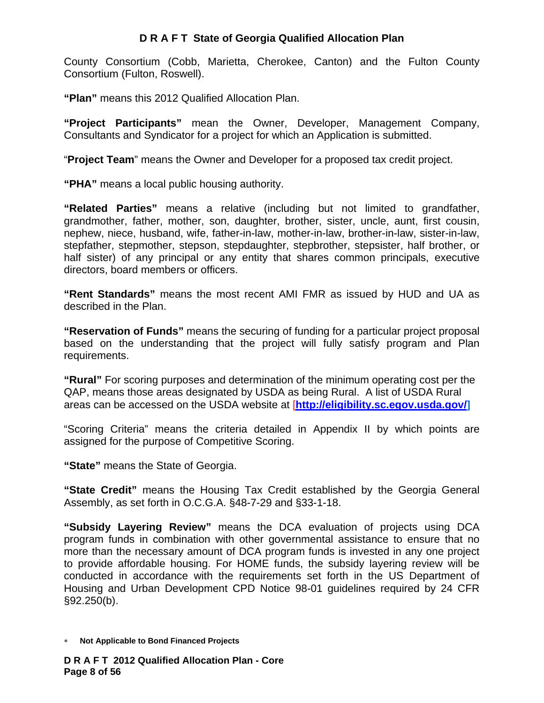County Consortium (Cobb, Marietta, Cherokee, Canton) and the Fulton County Consortium (Fulton, Roswell).

**"Plan"** means this 2012 Qualified Allocation Plan.

**"Project Participants"** mean the Owner, Developer, Management Company, Consultants and Syndicator for a project for which an Application is submitted.

"**Project Team**" means the Owner and Developer for a proposed tax credit project.

**"PHA"** means a local public housing authority.

**"Related Parties"** means a relative (including but not limited to grandfather, grandmother, father, mother, son, daughter, brother, sister, uncle, aunt, first cousin, nephew, niece, husband, wife, father-in-law, mother-in-law, brother-in-law, sister-in-law, stepfather, stepmother, stepson, stepdaughter, stepbrother, stepsister, half brother, or half sister) of any principal or any entity that shares common principals, executive directors, board members or officers.

**"Rent Standards"** means the most recent AMI FMR as issued by HUD and UA as described in the Plan.

**"Reservation of Funds"** means the securing of funding for a particular project proposal based on the understanding that the project will fully satisfy program and Plan requirements.

**"Rural"** For scoring purposes and determination of the minimum operating cost per the QAP, means those areas designated by USDA as being Rural. A list of USDA Rural areas can be accessed on the USDA website at [**http://eligibility.sc.egov.usda.gov/]**

"Scoring Criteria" means the criteria detailed in Appendix II by which points are assigned for the purpose of Competitive Scoring.

**"State"** means the State of Georgia.

**"State Credit"** means the Housing Tax Credit established by the Georgia General Assembly, as set forth in O.C.G.A. §48-7-29 and §33-1-18.

**"Subsidy Layering Review"** means the DCA evaluation of projects using DCA program funds in combination with other governmental assistance to ensure that no more than the necessary amount of DCA program funds is invested in any one project to provide affordable housing. For HOME funds, the subsidy layering review will be conducted in accordance with the requirements set forth in the US Department of Housing and Urban Development CPD Notice 98-01 guidelines required by 24 CFR §92.250(b).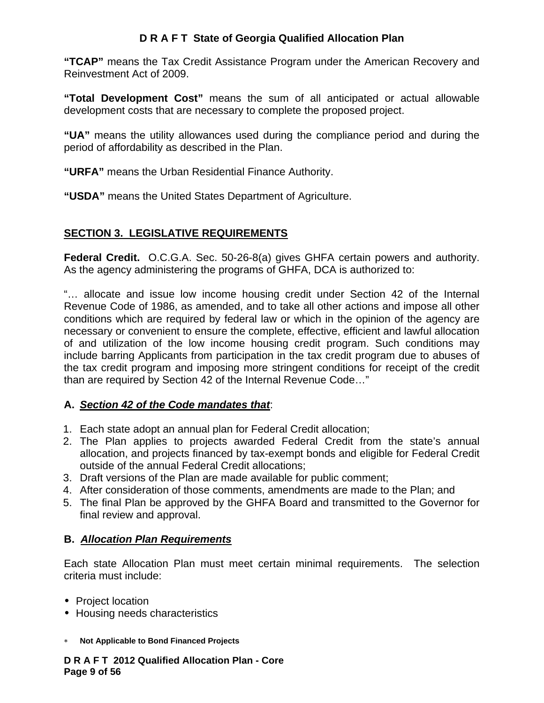**"TCAP"** means the Tax Credit Assistance Program under the American Recovery and Reinvestment Act of 2009.

**"Total Development Cost"** means the sum of all anticipated or actual allowable development costs that are necessary to complete the proposed project.

**"UA"** means the utility allowances used during the compliance period and during the period of affordability as described in the Plan.

**"URFA"** means the Urban Residential Finance Authority.

**"USDA"** means the United States Department of Agriculture.

# **SECTION 3. LEGISLATIVE REQUIREMENTS**

**Federal Credit.** O.C.G.A. Sec. 50-26-8(a) gives GHFA certain powers and authority. As the agency administering the programs of GHFA, DCA is authorized to:

"… allocate and issue low income housing credit under Section 42 of the Internal Revenue Code of 1986, as amended, and to take all other actions and impose all other conditions which are required by federal law or which in the opinion of the agency are necessary or convenient to ensure the complete, effective, efficient and lawful allocation of and utilization of the low income housing credit program. Such conditions may include barring Applicants from participation in the tax credit program due to abuses of the tax credit program and imposing more stringent conditions for receipt of the credit than are required by Section 42 of the Internal Revenue Code…"

## **A.** *Section 42 of the Code mandates that*:

- 1. Each state adopt an annual plan for Federal Credit allocation;
- 2. The Plan applies to projects awarded Federal Credit from the state's annual allocation, and projects financed by tax-exempt bonds and eligible for Federal Credit outside of the annual Federal Credit allocations;
- 3. Draft versions of the Plan are made available for public comment;
- 4. After consideration of those comments, amendments are made to the Plan; and
- 5. The final Plan be approved by the GHFA Board and transmitted to the Governor for final review and approval.

## **B.** *Allocation Plan Requirements*

Each state Allocation Plan must meet certain minimal requirements. The selection criteria must include:

- Project location
- Housing needs characteristics
- ∗ **Not Applicable to Bond Financed Projects**

**D R A F T 2012 Qualified Allocation Plan - Core Page 9 of 56**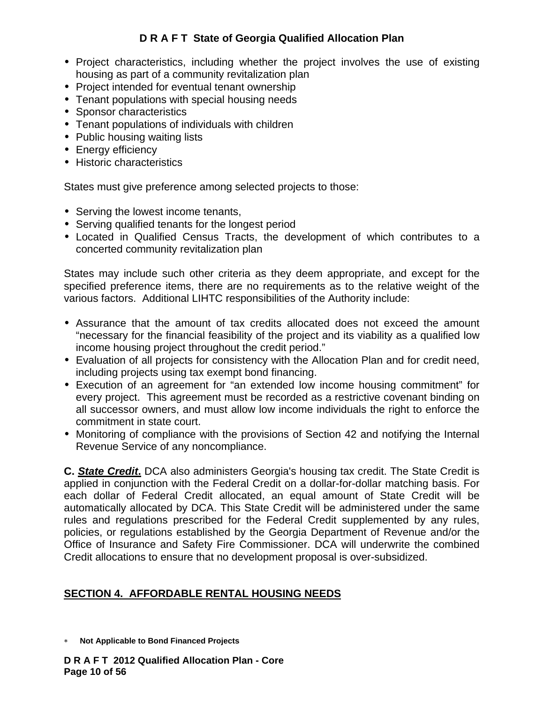- Project characteristics, including whether the project involves the use of existing housing as part of a community revitalization plan
- Project intended for eventual tenant ownership
- Tenant populations with special housing needs
- Sponsor characteristics
- Tenant populations of individuals with children
- Public housing waiting lists
- Energy efficiency
- Historic characteristics

States must give preference among selected projects to those:

- Serving the lowest income tenants,
- Serving qualified tenants for the longest period
- Located in Qualified Census Tracts, the development of which contributes to a concerted community revitalization plan

States may include such other criteria as they deem appropriate, and except for the specified preference items, there are no requirements as to the relative weight of the various factors. Additional LIHTC responsibilities of the Authority include:

- Assurance that the amount of tax credits allocated does not exceed the amount "necessary for the financial feasibility of the project and its viability as a qualified low income housing project throughout the credit period."
- Evaluation of all projects for consistency with the Allocation Plan and for credit need, including projects using tax exempt bond financing.
- Execution of an agreement for "an extended low income housing commitment" for every project. This agreement must be recorded as a restrictive covenant binding on all successor owners, and must allow low income individuals the right to enforce the commitment in state court.
- Monitoring of compliance with the provisions of Section 42 and notifying the Internal Revenue Service of any noncompliance.

**C.** *State Credit***.** DCA also administers Georgia's housing tax credit. The State Credit is applied in conjunction with the Federal Credit on a dollar-for-dollar matching basis. For each dollar of Federal Credit allocated, an equal amount of State Credit will be automatically allocated by DCA. This State Credit will be administered under the same rules and regulations prescribed for the Federal Credit supplemented by any rules, policies, or regulations established by the Georgia Department of Revenue and/or the Office of Insurance and Safety Fire Commissioner. DCA will underwrite the combined Credit allocations to ensure that no development proposal is over-subsidized.

## **SECTION 4. AFFORDABLE RENTAL HOUSING NEEDS**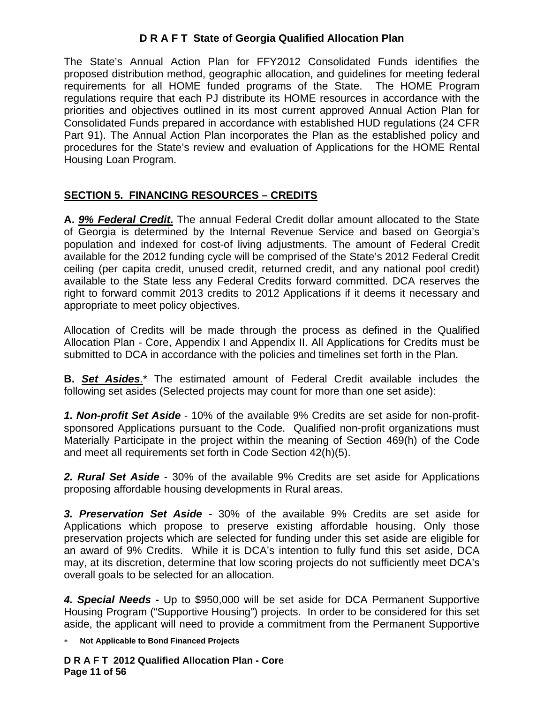The State's Annual Action Plan for FFY2012 Consolidated Funds identifies the proposed distribution method, geographic allocation, and guidelines for meeting federal requirements for all HOME funded programs of the State. The HOME Program regulations require that each PJ distribute its HOME resources in accordance with the priorities and objectives outlined in its most current approved Annual Action Plan for Consolidated Funds prepared in accordance with established HUD regulations (24 CFR Part 91). The Annual Action Plan incorporates the Plan as the established policy and procedures for the State's review and evaluation of Applications for the HOME Rental Housing Loan Program.

# **SECTION 5. FINANCING RESOURCES – CREDITS**

**A.** *9% Federal Credit***.** The annual Federal Credit dollar amount allocated to the State of Georgia is determined by the Internal Revenue Service and based on Georgia's population and indexed for cost-of living adjustments. The amount of Federal Credit available for the 2012 funding cycle will be comprised of the State's 2012 Federal Credit ceiling (per capita credit, unused credit, returned credit, and any national pool credit) available to the State less any Federal Credits forward committed. DCA reserves the right to forward commit 2013 credits to 2012 Applications if it deems it necessary and appropriate to meet policy objectives.

Allocation of Credits will be made through the process as defined in the Qualified Allocation Plan - Core, Appendix I and Appendix II. All Applications for Credits must be submitted to DCA in accordance with the policies and timelines set forth in the Plan.

**B.** *Set Asides.*\* The estimated amount of Federal Credit available includes the following set asides (Selected projects may count for more than one set aside):

*1. Non-profit Set Aside* - 10% of the available 9% Credits are set aside for non-profitsponsored Applications pursuant to the Code. Qualified non-profit organizations must Materially Participate in the project within the meaning of Section 469(h) of the Code and meet all requirements set forth in Code Section 42(h)(5).

*2. Rural Set Aside* - 30% of the available 9% Credits are set aside for Applications proposing affordable housing developments in Rural areas.

*3. Preservation Set Aside -* 30% of the available 9% Credits are set aside for Applications which propose to preserve existing affordable housing. Only those preservation projects which are selected for funding under this set aside are eligible for an award of 9% Credits. While it is DCA's intention to fully fund this set aside, DCA may, at its discretion, determine that low scoring projects do not sufficiently meet DCA's overall goals to be selected for an allocation.

*4. Special Needs* **-** Up to \$950,000 will be set aside for DCA Permanent Supportive Housing Program ("Supportive Housing") projects. In order to be considered for this set aside, the applicant will need to provide a commitment from the Permanent Supportive

∗ **Not Applicable to Bond Financed Projects** 

**D R A F T 2012 Qualified Allocation Plan - Core Page 11 of 56**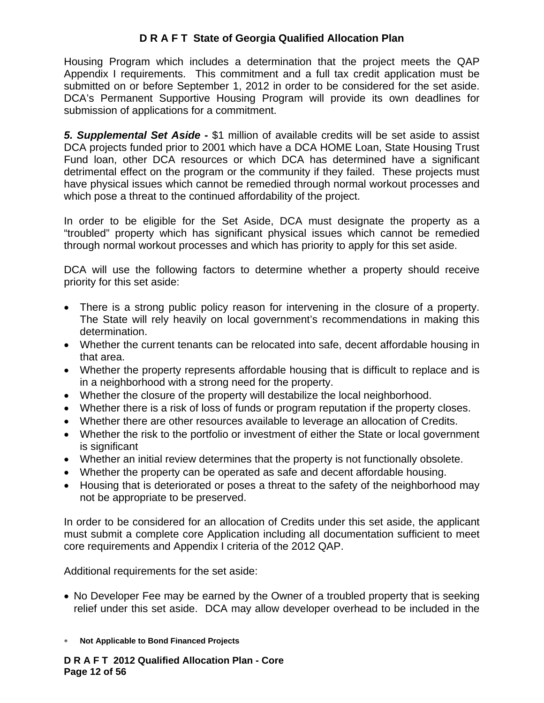Housing Program which includes a determination that the project meets the QAP Appendix I requirements. This commitment and a full tax credit application must be submitted on or before September 1, 2012 in order to be considered for the set aside. DCA's Permanent Supportive Housing Program will provide its own deadlines for submission of applications for a commitment.

*5. Supplemental Set Aside* **-** \$1 million of available credits will be set aside to assist DCA projects funded prior to 2001 which have a DCA HOME Loan, State Housing Trust Fund loan, other DCA resources or which DCA has determined have a significant detrimental effect on the program or the community if they failed. These projects must have physical issues which cannot be remedied through normal workout processes and which pose a threat to the continued affordability of the project.

In order to be eligible for the Set Aside, DCA must designate the property as a "troubled" property which has significant physical issues which cannot be remedied through normal workout processes and which has priority to apply for this set aside.

DCA will use the following factors to determine whether a property should receive priority for this set aside:

- There is a strong public policy reason for intervening in the closure of a property. The State will rely heavily on local government's recommendations in making this determination.
- Whether the current tenants can be relocated into safe, decent affordable housing in that area.
- Whether the property represents affordable housing that is difficult to replace and is in a neighborhood with a strong need for the property.
- Whether the closure of the property will destabilize the local neighborhood.
- Whether there is a risk of loss of funds or program reputation if the property closes.
- Whether there are other resources available to leverage an allocation of Credits.
- Whether the risk to the portfolio or investment of either the State or local government is significant
- Whether an initial review determines that the property is not functionally obsolete.
- Whether the property can be operated as safe and decent affordable housing.
- Housing that is deteriorated or poses a threat to the safety of the neighborhood may not be appropriate to be preserved.

In order to be considered for an allocation of Credits under this set aside, the applicant must submit a complete core Application including all documentation sufficient to meet core requirements and Appendix I criteria of the 2012 QAP.

Additional requirements for the set aside:

- No Developer Fee may be earned by the Owner of a troubled property that is seeking relief under this set aside. DCA may allow developer overhead to be included in the
- ∗ **Not Applicable to Bond Financed Projects**

**D R A F T 2012 Qualified Allocation Plan - Core Page 12 of 56**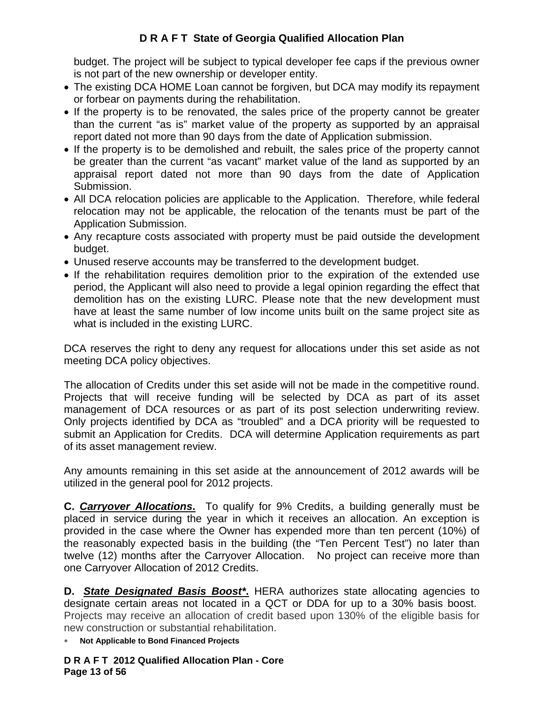budget. The project will be subject to typical developer fee caps if the previous owner is not part of the new ownership or developer entity.

- The existing DCA HOME Loan cannot be forgiven, but DCA may modify its repayment or forbear on payments during the rehabilitation.
- If the property is to be renovated, the sales price of the property cannot be greater than the current "as is" market value of the property as supported by an appraisal report dated not more than 90 days from the date of Application submission.
- If the property is to be demolished and rebuilt, the sales price of the property cannot be greater than the current "as vacant" market value of the land as supported by an appraisal report dated not more than 90 days from the date of Application Submission.
- All DCA relocation policies are applicable to the Application. Therefore, while federal relocation may not be applicable, the relocation of the tenants must be part of the Application Submission.
- Any recapture costs associated with property must be paid outside the development budget.
- Unused reserve accounts may be transferred to the development budget.
- If the rehabilitation requires demolition prior to the expiration of the extended use period, the Applicant will also need to provide a legal opinion regarding the effect that demolition has on the existing LURC. Please note that the new development must have at least the same number of low income units built on the same project site as what is included in the existing LURC.

DCA reserves the right to deny any request for allocations under this set aside as not meeting DCA policy objectives.

The allocation of Credits under this set aside will not be made in the competitive round. Projects that will receive funding will be selected by DCA as part of its asset management of DCA resources or as part of its post selection underwriting review. Only projects identified by DCA as "troubled" and a DCA priority will be requested to submit an Application for Credits. DCA will determine Application requirements as part of its asset management review.

Any amounts remaining in this set aside at the announcement of 2012 awards will be utilized in the general pool for 2012 projects.

**C.** *Carryover Allocations***.** To qualify for 9% Credits, a building generally must be placed in service during the year in which it receives an allocation. An exception is provided in the case where the Owner has expended more than ten percent (10%) of the reasonably expected basis in the building (the "Ten Percent Test") no later than twelve (12) months after the Carryover Allocation. No project can receive more than one Carryover Allocation of 2012 Credits.

**D.** *State Designated Basis Boost\****.** HERA authorizes state allocating agencies to designate certain areas not located in a QCT or DDA for up to a 30% basis boost. Projects may receive an allocation of credit based upon 130% of the eligible basis for new construction or substantial rehabilitation.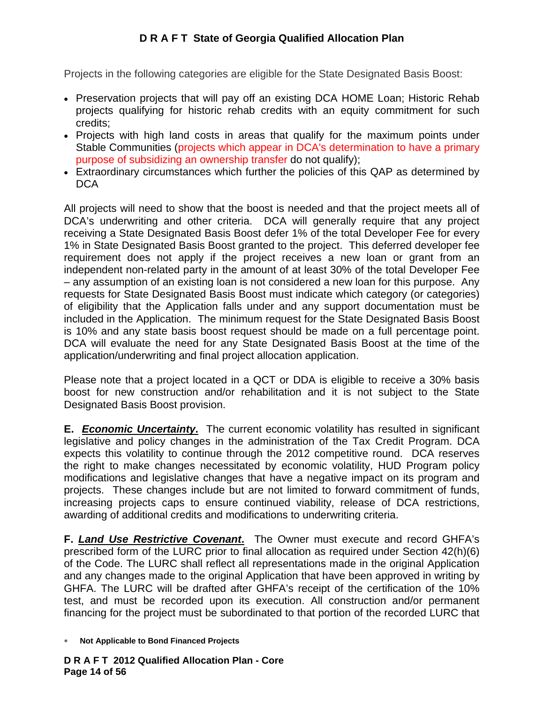Projects in the following categories are eligible for the State Designated Basis Boost:

- Preservation projects that will pay off an existing DCA HOME Loan; Historic Rehab projects qualifying for historic rehab credits with an equity commitment for such credits;
- Projects with high land costs in areas that qualify for the maximum points under Stable Communities (projects which appear in DCA's determination to have a primary purpose of subsidizing an ownership transfer do not qualify);
- Extraordinary circumstances which further the policies of this QAP as determined by DCA

All projects will need to show that the boost is needed and that the project meets all of DCA's underwriting and other criteria. DCA will generally require that any project receiving a State Designated Basis Boost defer 1% of the total Developer Fee for every 1% in State Designated Basis Boost granted to the project. This deferred developer fee requirement does not apply if the project receives a new loan or grant from an independent non-related party in the amount of at least 30% of the total Developer Fee – any assumption of an existing loan is not considered a new loan for this purpose. Any requests for State Designated Basis Boost must indicate which category (or categories) of eligibility that the Application falls under and any support documentation must be included in the Application. The minimum request for the State Designated Basis Boost is 10% and any state basis boost request should be made on a full percentage point. DCA will evaluate the need for any State Designated Basis Boost at the time of the application/underwriting and final project allocation application.

Please note that a project located in a QCT or DDA is eligible to receive a 30% basis boost for new construction and/or rehabilitation and it is not subject to the State Designated Basis Boost provision.

**E.** *Economic Uncertainty*. The current economic volatility has resulted in significant legislative and policy changes in the administration of the Tax Credit Program. DCA expects this volatility to continue through the 2012 competitive round. DCA reserves the right to make changes necessitated by economic volatility, HUD Program policy modifications and legislative changes that have a negative impact on its program and projects. These changes include but are not limited to forward commitment of funds, increasing projects caps to ensure continued viability, release of DCA restrictions, awarding of additional credits and modifications to underwriting criteria.

**F.** *Land Use Restrictive Covenant***.** The Owner must execute and record GHFA's prescribed form of the LURC prior to final allocation as required under Section 42(h)(6) of the Code. The LURC shall reflect all representations made in the original Application and any changes made to the original Application that have been approved in writing by GHFA. The LURC will be drafted after GHFA's receipt of the certification of the 10% test, and must be recorded upon its execution. All construction and/or permanent financing for the project must be subordinated to that portion of the recorded LURC that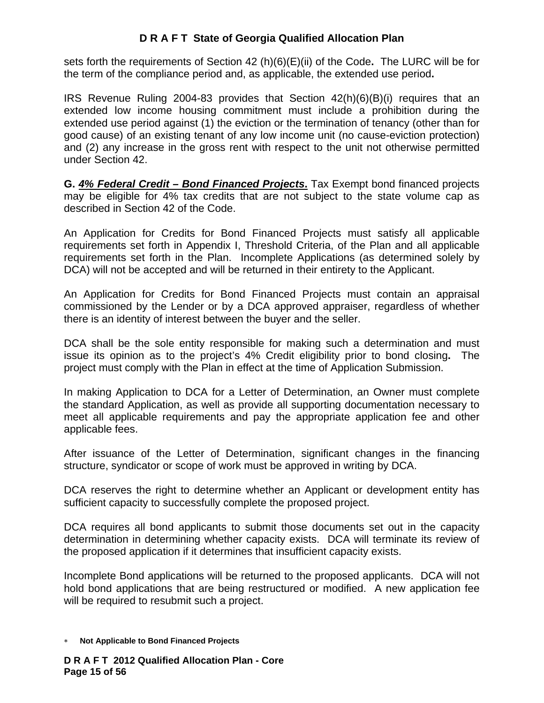sets forth the requirements of Section 42 (h)(6)(E)(ii) of the Code**.** The LURC will be for the term of the compliance period and, as applicable, the extended use period**.** 

IRS Revenue Ruling 2004-83 provides that Section 42(h)(6)(B)(i) requires that an extended low income housing commitment must include a prohibition during the extended use period against (1) the eviction or the termination of tenancy (other than for good cause) of an existing tenant of any low income unit (no cause-eviction protection) and (2) any increase in the gross rent with respect to the unit not otherwise permitted under Section 42.

**G.** *4% Federal Credit – Bond Financed Projects***.** Tax Exempt bond financed projects may be eligible for 4% tax credits that are not subject to the state volume cap as described in Section 42 of the Code.

An Application for Credits for Bond Financed Projects must satisfy all applicable requirements set forth in Appendix I, Threshold Criteria, of the Plan and all applicable requirements set forth in the Plan. Incomplete Applications (as determined solely by DCA) will not be accepted and will be returned in their entirety to the Applicant.

An Application for Credits for Bond Financed Projects must contain an appraisal commissioned by the Lender or by a DCA approved appraiser, regardless of whether there is an identity of interest between the buyer and the seller.

DCA shall be the sole entity responsible for making such a determination and must issue its opinion as to the project's 4% Credit eligibility prior to bond closing**.** The project must comply with the Plan in effect at the time of Application Submission.

In making Application to DCA for a Letter of Determination, an Owner must complete the standard Application, as well as provide all supporting documentation necessary to meet all applicable requirements and pay the appropriate application fee and other applicable fees.

After issuance of the Letter of Determination, significant changes in the financing structure, syndicator or scope of work must be approved in writing by DCA.

DCA reserves the right to determine whether an Applicant or development entity has sufficient capacity to successfully complete the proposed project.

DCA requires all bond applicants to submit those documents set out in the capacity determination in determining whether capacity exists. DCA will terminate its review of the proposed application if it determines that insufficient capacity exists.

Incomplete Bond applications will be returned to the proposed applicants. DCA will not hold bond applications that are being restructured or modified. A new application fee will be required to resubmit such a project.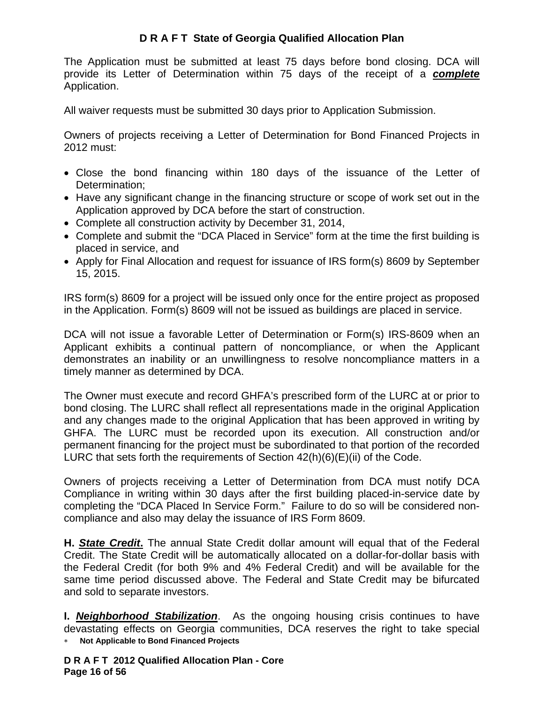The Application must be submitted at least 75 days before bond closing. DCA will provide its Letter of Determination within 75 days of the receipt of a *complete* Application.

All waiver requests must be submitted 30 days prior to Application Submission.

Owners of projects receiving a Letter of Determination for Bond Financed Projects in 2012 must:

- Close the bond financing within 180 days of the issuance of the Letter of Determination;
- Have any significant change in the financing structure or scope of work set out in the Application approved by DCA before the start of construction.
- Complete all construction activity by December 31, 2014,
- Complete and submit the "DCA Placed in Service" form at the time the first building is placed in service, and
- Apply for Final Allocation and request for issuance of IRS form(s) 8609 by September 15, 2015.

IRS form(s) 8609 for a project will be issued only once for the entire project as proposed in the Application. Form(s) 8609 will not be issued as buildings are placed in service.

DCA will not issue a favorable Letter of Determination or Form(s) IRS-8609 when an Applicant exhibits a continual pattern of noncompliance, or when the Applicant demonstrates an inability or an unwillingness to resolve noncompliance matters in a timely manner as determined by DCA.

The Owner must execute and record GHFA's prescribed form of the LURC at or prior to bond closing. The LURC shall reflect all representations made in the original Application and any changes made to the original Application that has been approved in writing by GHFA. The LURC must be recorded upon its execution. All construction and/or permanent financing for the project must be subordinated to that portion of the recorded LURC that sets forth the requirements of Section 42(h)(6)(E)(ii) of the Code.

Owners of projects receiving a Letter of Determination from DCA must notify DCA Compliance in writing within 30 days after the first building placed-in-service date by completing the "DCA Placed In Service Form." Failure to do so will be considered noncompliance and also may delay the issuance of IRS Form 8609.

**H.** *State Credit***.** The annual State Credit dollar amount will equal that of the Federal Credit. The State Credit will be automatically allocated on a dollar-for-dollar basis with the Federal Credit (for both 9% and 4% Federal Credit) and will be available for the same time period discussed above. The Federal and State Credit may be bifurcated and sold to separate investors.

∗ **Not Applicable to Bond Financed Projects I.** *Neighborhood Stabilization*. As the ongoing housing crisis continues to have devastating effects on Georgia communities, DCA reserves the right to take special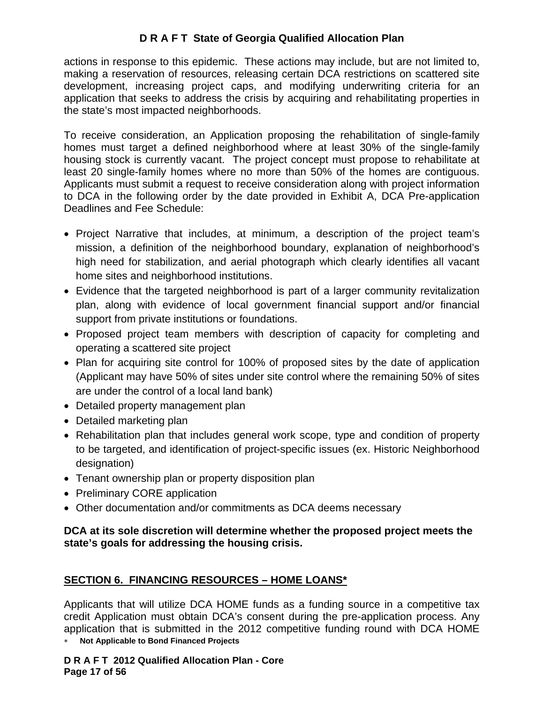actions in response to this epidemic. These actions may include, but are not limited to, making a reservation of resources, releasing certain DCA restrictions on scattered site development, increasing project caps, and modifying underwriting criteria for an application that seeks to address the crisis by acquiring and rehabilitating properties in the state's most impacted neighborhoods.

To receive consideration, an Application proposing the rehabilitation of single-family homes must target a defined neighborhood where at least 30% of the single-family housing stock is currently vacant. The project concept must propose to rehabilitate at least 20 single-family homes where no more than 50% of the homes are contiguous. Applicants must submit a request to receive consideration along with project information to DCA in the following order by the date provided in Exhibit A, DCA Pre-application Deadlines and Fee Schedule:

- Project Narrative that includes, at minimum, a description of the project team's mission, a definition of the neighborhood boundary, explanation of neighborhood's high need for stabilization, and aerial photograph which clearly identifies all vacant home sites and neighborhood institutions.
- Evidence that the targeted neighborhood is part of a larger community revitalization plan, along with evidence of local government financial support and/or financial support from private institutions or foundations.
- Proposed project team members with description of capacity for completing and operating a scattered site project
- Plan for acquiring site control for 100% of proposed sites by the date of application (Applicant may have 50% of sites under site control where the remaining 50% of sites are under the control of a local land bank)
- Detailed property management plan
- Detailed marketing plan
- Rehabilitation plan that includes general work scope, type and condition of property to be targeted, and identification of project-specific issues (ex. Historic Neighborhood designation)
- Tenant ownership plan or property disposition plan
- Preliminary CORE application
- Other documentation and/or commitments as DCA deems necessary

## **DCA at its sole discretion will determine whether the proposed project meets the state's goals for addressing the housing crisis.**

# **SECTION 6. FINANCING RESOURCES – HOME LOANS\***

∗ **Not Applicable to Bond Financed Projects**  Applicants that will utilize DCA HOME funds as a funding source in a competitive tax credit Application must obtain DCA's consent during the pre-application process. Any application that is submitted in the 2012 competitive funding round with DCA HOME

**D R A F T 2012 Qualified Allocation Plan - Core Page 17 of 56**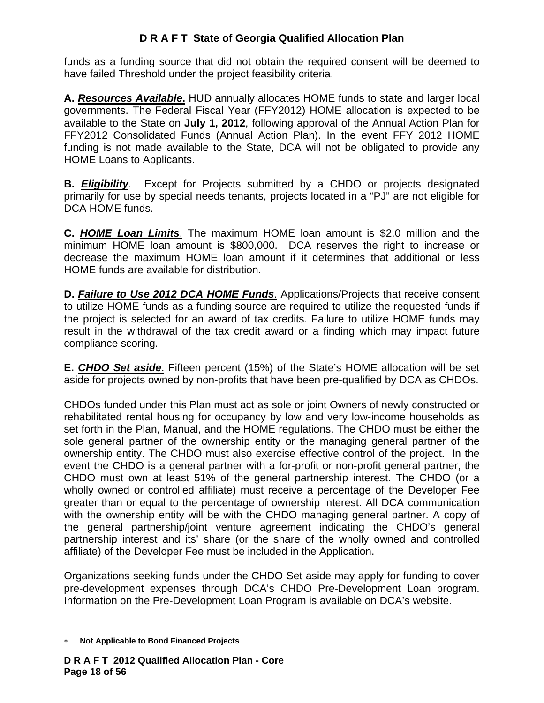funds as a funding source that did not obtain the required consent will be deemed to have failed Threshold under the project feasibility criteria.

**A.** *Resources Available***.** HUD annually allocates HOME funds to state and larger local governments. The Federal Fiscal Year (FFY2012) HOME allocation is expected to be available to the State on **July 1, 2012**, following approval of the Annual Action Plan for FFY2012 Consolidated Funds (Annual Action Plan). In the event FFY 2012 HOME funding is not made available to the State, DCA will not be obligated to provide any HOME Loans to Applicants.

**B.** *Eligibility*. Except for Projects submitted by a CHDO or projects designated primarily for use by special needs tenants, projects located in a "PJ" are not eligible for DCA HOME funds.

**C.** *HOME Loan Limits*. The maximum HOME loan amount is \$2.0 million and the minimum HOME loan amount is \$800,000. DCA reserves the right to increase or decrease the maximum HOME loan amount if it determines that additional or less HOME funds are available for distribution.

**D.** *Failure to Use 2012 DCA HOME Funds*. Applications/Projects that receive consent to utilize HOME funds as a funding source are required to utilize the requested funds if the project is selected for an award of tax credits. Failure to utilize HOME funds may result in the withdrawal of the tax credit award or a finding which may impact future compliance scoring.

**E.** *CHDO Set aside*. Fifteen percent (15%) of the State's HOME allocation will be set aside for projects owned by non-profits that have been pre-qualified by DCA as CHDOs.

CHDOs funded under this Plan must act as sole or joint Owners of newly constructed or rehabilitated rental housing for occupancy by low and very low-income households as set forth in the Plan, Manual, and the HOME regulations. The CHDO must be either the sole general partner of the ownership entity or the managing general partner of the ownership entity. The CHDO must also exercise effective control of the project. In the event the CHDO is a general partner with a for-profit or non-profit general partner, the CHDO must own at least 51% of the general partnership interest. The CHDO (or a wholly owned or controlled affiliate) must receive a percentage of the Developer Fee greater than or equal to the percentage of ownership interest. All DCA communication with the ownership entity will be with the CHDO managing general partner. A copy of the general partnership/joint venture agreement indicating the CHDO's general partnership interest and its' share (or the share of the wholly owned and controlled affiliate) of the Developer Fee must be included in the Application.

Organizations seeking funds under the CHDO Set aside may apply for funding to cover pre-development expenses through DCA's CHDO Pre-Development Loan program. Information on the Pre-Development Loan Program is available on DCA's website.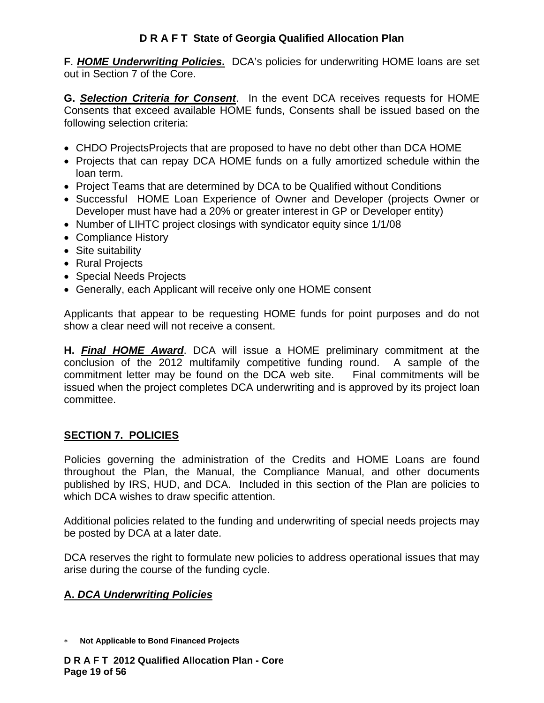**F**. *HOME Underwriting Policies***.** DCA's policies for underwriting HOME loans are set out in Section 7 of the Core.

**G.** *Selection Criteria for Consent*. In the event DCA receives requests for HOME Consents that exceed available HOME funds, Consents shall be issued based on the following selection criteria:

- CHDO ProjectsProjects that are proposed to have no debt other than DCA HOME
- Projects that can repay DCA HOME funds on a fully amortized schedule within the loan term.
- Project Teams that are determined by DCA to be Qualified without Conditions
- Successful HOME Loan Experience of Owner and Developer (projects Owner or Developer must have had a 20% or greater interest in GP or Developer entity)
- Number of LIHTC project closings with syndicator equity since 1/1/08
- Compliance History
- Site suitability
- Rural Projects
- Special Needs Projects
- Generally, each Applicant will receive only one HOME consent

Applicants that appear to be requesting HOME funds for point purposes and do not show a clear need will not receive a consent.

**H.** *Final HOME Award*. DCA will issue a HOME preliminary commitment at the conclusion of the 2012 multifamily competitive funding round. A sample of the commitment letter may be found on the DCA web site. Final commitments will be issued when the project completes DCA underwriting and is approved by its project loan committee.

#### **SECTION 7. POLICIES**

Policies governing the administration of the Credits and HOME Loans are found throughout the Plan, the Manual, the Compliance Manual, and other documents published by IRS, HUD, and DCA. Included in this section of the Plan are policies to which DCA wishes to draw specific attention.

Additional policies related to the funding and underwriting of special needs projects may be posted by DCA at a later date.

DCA reserves the right to formulate new policies to address operational issues that may arise during the course of the funding cycle.

## **A.** *DCA Underwriting Policies*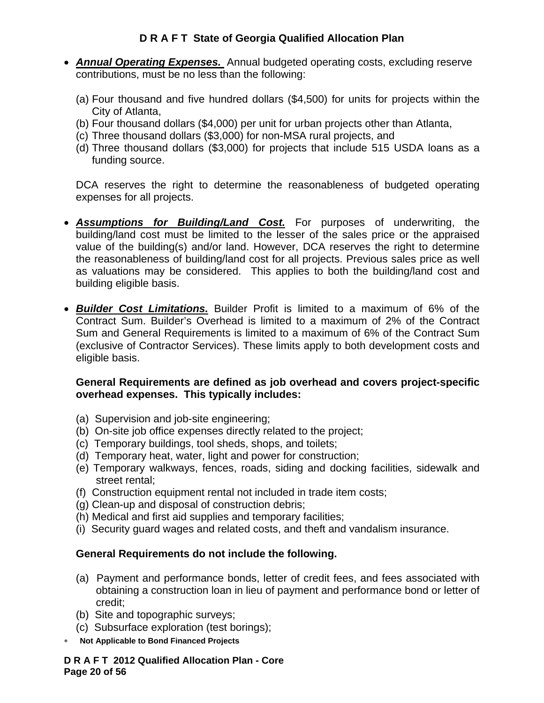- *Annual Operating Expenses.* Annual budgeted operating costs, excluding reserve contributions, must be no less than the following:
	- (a) Four thousand and five hundred dollars (\$4,500) for units for projects within the City of Atlanta,
	- (b) Four thousand dollars (\$4,000) per unit for urban projects other than Atlanta,
	- (c) Three thousand dollars (\$3,000) for non-MSA rural projects, and
	- (d) Three thousand dollars (\$3,000) for projects that include 515 USDA loans as a funding source.

DCA reserves the right to determine the reasonableness of budgeted operating expenses for all projects.

- *Assumptions for Building/Land Cost.* For purposes of underwriting, the building/land cost must be limited to the lesser of the sales price or the appraised value of the building(s) and/or land. However, DCA reserves the right to determine the reasonableness of building/land cost for all projects. Previous sales price as well as valuations may be considered. This applies to both the building/land cost and building eligible basis.
- *Builder Cost Limitations.* Builder Profit is limited to a maximum of 6% of the Contract Sum. Builder's Overhead is limited to a maximum of 2% of the Contract Sum and General Requirements is limited to a maximum of 6% of the Contract Sum (exclusive of Contractor Services). These limits apply to both development costs and eligible basis.

## **General Requirements are defined as job overhead and covers project-specific overhead expenses. This typically includes:**

- (a) Supervision and job-site engineering;
- (b) On-site job office expenses directly related to the project;
- (c) Temporary buildings, tool sheds, shops, and toilets;
- (d) Temporary heat, water, light and power for construction;
- (e) Temporary walkways, fences, roads, siding and docking facilities, sidewalk and street rental;
- (f)Construction equipment rental not included in trade item costs;
- (g) Clean-up and disposal of construction debris;
- (h) Medical and first aid supplies and temporary facilities;
- (i) Security guard wages and related costs, and theft and vandalism insurance.

# **General Requirements do not include the following.**

- (a) Payment and performance bonds, letter of credit fees, and fees associated with obtaining a construction loan in lieu of payment and performance bond or letter of credit;
- (b) Site and topographic surveys;
- (c) Subsurface exploration (test borings);
- ∗ **Not Applicable to Bond Financed Projects**

#### **D R A F T 2012 Qualified Allocation Plan - Core Page 20 of 56**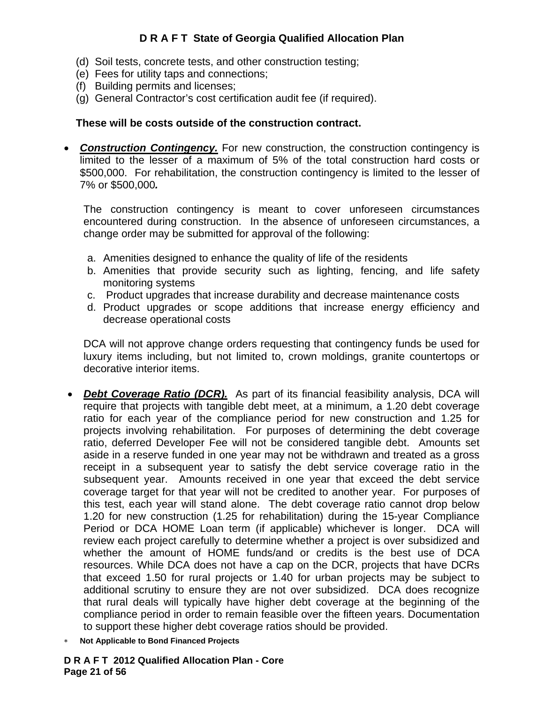- (d) Soil tests, concrete tests, and other construction testing;
- (e) Fees for utility taps and connections;
- (f) Building permits and licenses;
- (g) General Contractor's cost certification audit fee (if required).

#### **These will be costs outside of the construction contract.**

• **Construction Contingency.** For new construction, the construction contingency is limited to the lesser of a maximum of 5% of the total construction hard costs or \$500,000. For rehabilitation, the construction contingency is limited to the lesser of 7% or \$500,000*.* 

The construction contingency is meant to cover unforeseen circumstances encountered during construction. In the absence of unforeseen circumstances, a change order may be submitted for approval of the following:

- a. Amenities designed to enhance the quality of life of the residents
- b. Amenities that provide security such as lighting, fencing, and life safety monitoring systems
- c. Product upgrades that increase durability and decrease maintenance costs
- d. Product upgrades or scope additions that increase energy efficiency and decrease operational costs

DCA will not approve change orders requesting that contingency funds be used for luxury items including, but not limited to, crown moldings, granite countertops or decorative interior items.

- *Debt Coverage Ratio (DCR).*As part of its financial feasibility analysis, DCA will require that projects with tangible debt meet, at a minimum, a 1.20 debt coverage ratio for each year of the compliance period for new construction and 1.25 for projects involving rehabilitation. For purposes of determining the debt coverage ratio, deferred Developer Fee will not be considered tangible debt. Amounts set aside in a reserve funded in one year may not be withdrawn and treated as a gross receipt in a subsequent year to satisfy the debt service coverage ratio in the subsequent year. Amounts received in one year that exceed the debt service coverage target for that year will not be credited to another year. For purposes of this test, each year will stand alone. The debt coverage ratio cannot drop below 1.20 for new construction (1.25 for rehabilitation) during the 15-year Compliance Period or DCA HOME Loan term (if applicable) whichever is longer. DCA will review each project carefully to determine whether a project is over subsidized and whether the amount of HOME funds/and or credits is the best use of DCA resources. While DCA does not have a cap on the DCR, projects that have DCRs that exceed 1.50 for rural projects or 1.40 for urban projects may be subject to additional scrutiny to ensure they are not over subsidized. DCA does recognize that rural deals will typically have higher debt coverage at the beginning of the compliance period in order to remain feasible over the fifteen years. Documentation to support these higher debt coverage ratios should be provided.
- ∗ **Not Applicable to Bond Financed Projects**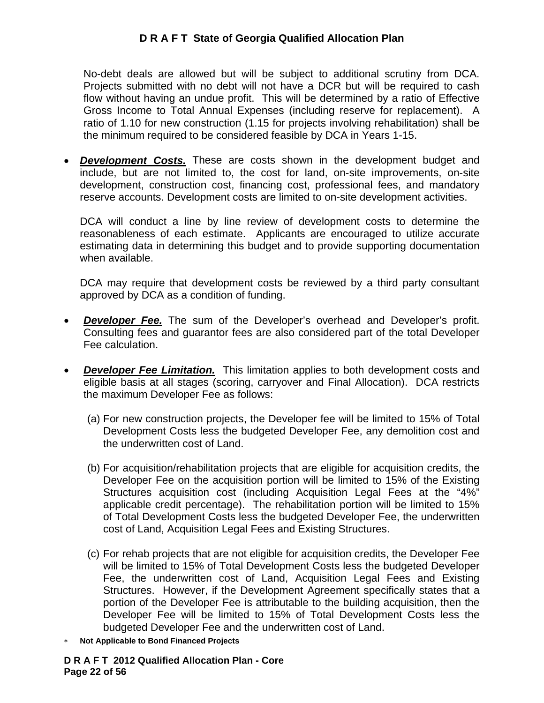No-debt deals are allowed but will be subject to additional scrutiny from DCA. Projects submitted with no debt will not have a DCR but will be required to cash flow without having an undue profit. This will be determined by a ratio of Effective Gross Income to Total Annual Expenses (including reserve for replacement). A ratio of 1.10 for new construction (1.15 for projects involving rehabilitation) shall be the minimum required to be considered feasible by DCA in Years 1-15.

• *Development Costs.* These are costs shown in the development budget and include, but are not limited to, the cost for land, on-site improvements, on-site development, construction cost, financing cost, professional fees, and mandatory reserve accounts. Development costs are limited to on-site development activities.

DCA will conduct a line by line review of development costs to determine the reasonableness of each estimate. Applicants are encouraged to utilize accurate estimating data in determining this budget and to provide supporting documentation when available.

DCA may require that development costs be reviewed by a third party consultant approved by DCA as a condition of funding.

- **Developer Fee.** The sum of the Developer's overhead and Developer's profit. Consulting fees and guarantor fees are also considered part of the total Developer Fee calculation.
- *Developer Fee Limitation.* This limitation applies to both development costs and eligible basis at all stages (scoring, carryover and Final Allocation).DCA restricts the maximum Developer Fee as follows:
	- (a) For new construction projects, the Developer fee will be limited to 15% of Total Development Costs less the budgeted Developer Fee, any demolition cost and the underwritten cost of Land.
	- (b) For acquisition/rehabilitation projects that are eligible for acquisition credits, the Developer Fee on the acquisition portion will be limited to 15% of the Existing Structures acquisition cost (including Acquisition Legal Fees at the "4%" applicable credit percentage). The rehabilitation portion will be limited to 15% of Total Development Costs less the budgeted Developer Fee, the underwritten cost of Land, Acquisition Legal Fees and Existing Structures.
	- (c) For rehab projects that are not eligible for acquisition credits, the Developer Fee will be limited to 15% of Total Development Costs less the budgeted Developer Fee, the underwritten cost of Land, Acquisition Legal Fees and Existing Structures. However, if the Development Agreement specifically states that a portion of the Developer Fee is attributable to the building acquisition, then the Developer Fee will be limited to 15% of Total Development Costs less the budgeted Developer Fee and the underwritten cost of Land.
- ∗ **Not Applicable to Bond Financed Projects**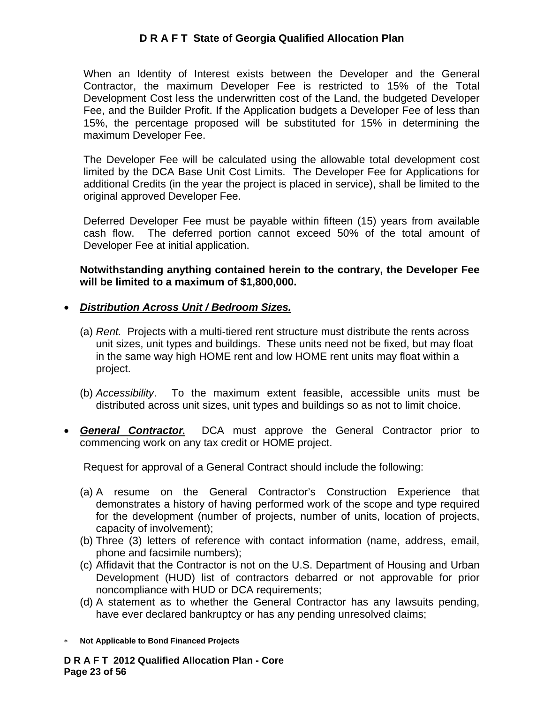When an Identity of Interest exists between the Developer and the General Contractor, the maximum Developer Fee is restricted to 15% of the Total Development Cost less the underwritten cost of the Land, the budgeted Developer Fee, and the Builder Profit. If the Application budgets a Developer Fee of less than 15%, the percentage proposed will be substituted for 15% in determining the maximum Developer Fee.

The Developer Fee will be calculated using the allowable total development cost limited by the DCA Base Unit Cost Limits. The Developer Fee for Applications for additional Credits (in the year the project is placed in service), shall be limited to the original approved Developer Fee.

Deferred Developer Fee must be payable within fifteen (15) years from available cash flow. The deferred portion cannot exceed 50% of the total amount of Developer Fee at initial application.

**Notwithstanding anything contained herein to the contrary, the Developer Fee will be limited to a maximum of \$1,800,000.** 

#### • *Distribution Across Unit / Bedroom Sizes.*

- (a) *Rent.* Projects with a multi-tiered rent structure must distribute the rents across unit sizes, unit types and buildings. These units need not be fixed, but may float in the same way high HOME rent and low HOME rent units may float within a project.
- (b) *Accessibility*. To the maximum extent feasible, accessible units must be distributed across unit sizes, unit types and buildings so as not to limit choice.
- *General Contractor.* DCA must approve the General Contractor prior to commencing work on any tax credit or HOME project.

Request for approval of a General Contract should include the following:

- (a) A resume on the General Contractor's Construction Experience that demonstrates a history of having performed work of the scope and type required for the development (number of projects, number of units, location of projects, capacity of involvement);
- (b) Three (3) letters of reference with contact information (name, address, email, phone and facsimile numbers);
- (c) Affidavit that the Contractor is not on the U.S. Department of Housing and Urban Development (HUD) list of contractors debarred or not approvable for prior noncompliance with HUD or DCA requirements;
- (d) A statement as to whether the General Contractor has any lawsuits pending, have ever declared bankruptcy or has any pending unresolved claims;
- ∗ **Not Applicable to Bond Financed Projects**

**D R A F T 2012 Qualified Allocation Plan - Core Page 23 of 56**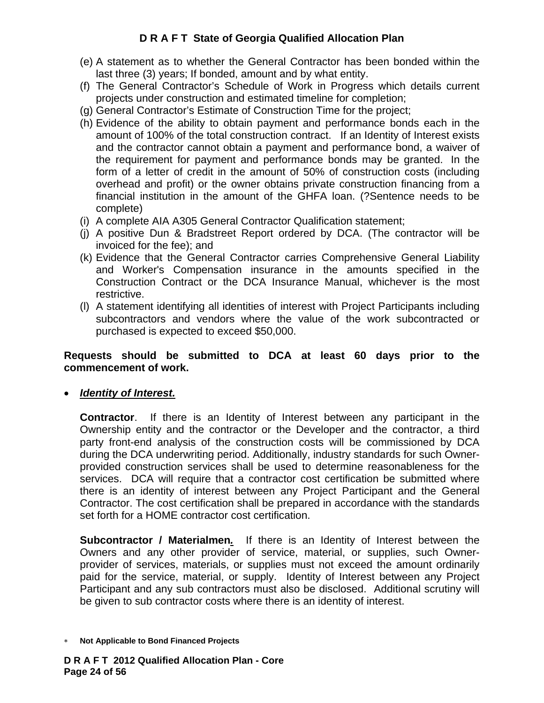- (e) A statement as to whether the General Contractor has been bonded within the last three (3) years; If bonded, amount and by what entity.
- (f) The General Contractor's Schedule of Work in Progress which details current projects under construction and estimated timeline for completion;
- (g) General Contractor's Estimate of Construction Time for the project;
- (h) Evidence of the ability to obtain payment and performance bonds each in the amount of 100% of the total construction contract. If an Identity of Interest exists and the contractor cannot obtain a payment and performance bond, a waiver of the requirement for payment and performance bonds may be granted. In the form of a letter of credit in the amount of 50% of construction costs (including overhead and profit) or the owner obtains private construction financing from a financial institution in the amount of the GHFA loan. (?Sentence needs to be complete)
- (i) A complete AIA A305 General Contractor Qualification statement;
- (j) A positive Dun & Bradstreet Report ordered by DCA. (The contractor will be invoiced for the fee); and
- (k) Evidence that the General Contractor carries Comprehensive General Liability and Worker's Compensation insurance in the amounts specified in the Construction Contract or the DCA Insurance Manual, whichever is the most restrictive.
- (l) A statement identifying all identities of interest with Project Participants including subcontractors and vendors where the value of the work subcontracted or purchased is expected to exceed \$50,000.

#### **Requests should be submitted to DCA at least 60 days prior to the commencement of work.**

• *Identity of Interest.*

**Contractor**. If there is an Identity of Interest between any participant in the Ownership entity and the contractor or the Developer and the contractor, a third party front-end analysis of the construction costs will be commissioned by DCA during the DCA underwriting period. Additionally, industry standards for such Ownerprovided construction services shall be used to determine reasonableness for the services. DCA will require that a contractor cost certification be submitted where there is an identity of interest between any Project Participant and the General Contractor. The cost certification shall be prepared in accordance with the standards set forth for a HOME contractor cost certification.

**Subcontractor / Materialmen***.* If there is an Identity of Interest between the Owners and any other provider of service, material, or supplies, such Ownerprovider of services, materials, or supplies must not exceed the amount ordinarily paid for the service, material, or supply. Identity of Interest between any Project Participant and any sub contractors must also be disclosed. Additional scrutiny will be given to sub contractor costs where there is an identity of interest.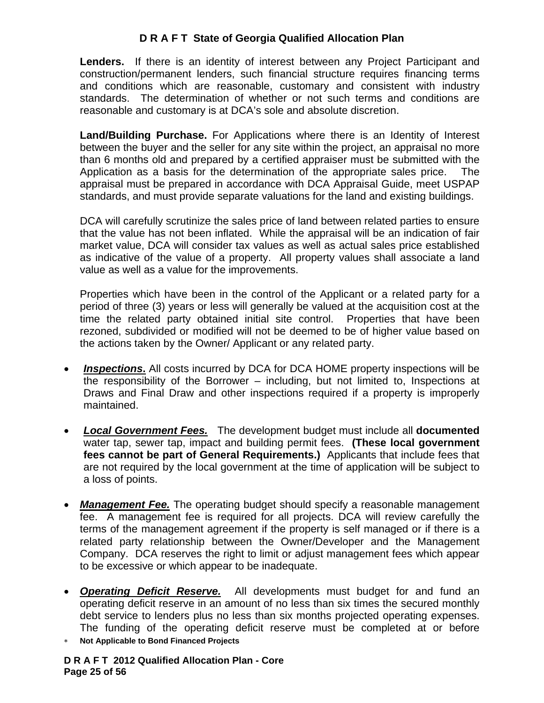**Lenders.** If there is an identity of interest between any Project Participant and construction/permanent lenders, such financial structure requires financing terms and conditions which are reasonable, customary and consistent with industry standards. The determination of whether or not such terms and conditions are reasonable and customary is at DCA's sole and absolute discretion.

**Land/Building Purchase.** For Applications where there is an Identity of Interest between the buyer and the seller for any site within the project, an appraisal no more than 6 months old and prepared by a certified appraiser must be submitted with the Application as a basis for the determination of the appropriate sales price. The appraisal must be prepared in accordance with DCA Appraisal Guide, meet USPAP standards, and must provide separate valuations for the land and existing buildings.

DCA will carefully scrutinize the sales price of land between related parties to ensure that the value has not been inflated. While the appraisal will be an indication of fair market value, DCA will consider tax values as well as actual sales price established as indicative of the value of a property. All property values shall associate a land value as well as a value for the improvements.

Properties which have been in the control of the Applicant or a related party for a period of three (3) years or less will generally be valued at the acquisition cost at the time the related party obtained initial site control. Properties that have been rezoned, subdivided or modified will not be deemed to be of higher value based on the actions taken by the Owner/ Applicant or any related party.

- *Inspections***.** All costs incurred by DCA for DCA HOME property inspections will be the responsibility of the Borrower – including, but not limited to, Inspections at Draws and Final Draw and other inspections required if a property is improperly maintained.
- *Local Government Fees.* The development budget must include all **documented** water tap, sewer tap, impact and building permit fees. **(These local government fees cannot be part of General Requirements.)** Applicants that include fees that are not required by the local government at the time of application will be subject to a loss of points.
- **Management Fee.** The operating budget should specify a reasonable management fee. A management fee is required for all projects. DCA will review carefully the terms of the management agreement if the property is self managed or if there is a related party relationship between the Owner/Developer and the Management Company. DCA reserves the right to limit or adjust management fees which appear to be excessive or which appear to be inadequate.
- *Operating Deficit Reserve.* All developments must budget for and fund an operating deficit reserve in an amount of no less than six times the secured monthly debt service to lenders plus no less than six months projected operating expenses. The funding of the operating deficit reserve must be completed at or before
- ∗ **Not Applicable to Bond Financed Projects**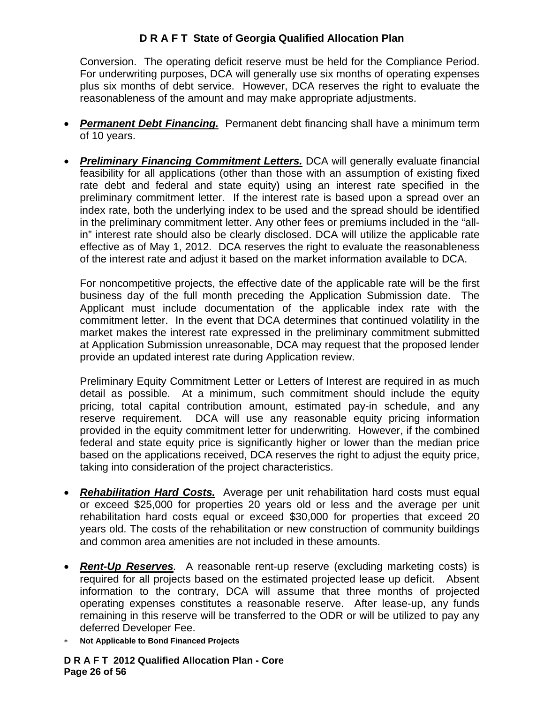Conversion. The operating deficit reserve must be held for the Compliance Period. For underwriting purposes, DCA will generally use six months of operating expenses plus six months of debt service. However, DCA reserves the right to evaluate the reasonableness of the amount and may make appropriate adjustments.

- *Permanent Debt Financing.* Permanent debt financing shall have a minimum term of 10 years.
- *Preliminary Financing Commitment Letters.* DCA will generally evaluate financial feasibility for all applications (other than those with an assumption of existing fixed rate debt and federal and state equity) using an interest rate specified in the preliminary commitment letter. If the interest rate is based upon a spread over an index rate, both the underlying index to be used and the spread should be identified in the preliminary commitment letter. Any other fees or premiums included in the "allin" interest rate should also be clearly disclosed. DCA will utilize the applicable rate effective as of May 1, 2012. DCA reserves the right to evaluate the reasonableness of the interest rate and adjust it based on the market information available to DCA.

For noncompetitive projects, the effective date of the applicable rate will be the first business day of the full month preceding the Application Submission date. The Applicant must include documentation of the applicable index rate with the commitment letter. In the event that DCA determines that continued volatility in the market makes the interest rate expressed in the preliminary commitment submitted at Application Submission unreasonable, DCA may request that the proposed lender provide an updated interest rate during Application review.

Preliminary Equity Commitment Letter or Letters of Interest are required in as much detail as possible. At a minimum, such commitment should include the equity pricing, total capital contribution amount, estimated pay-in schedule, and any reserve requirement. DCA will use any reasonable equity pricing information provided in the equity commitment letter for underwriting. However, if the combined federal and state equity price is significantly higher or lower than the median price based on the applications received, DCA reserves the right to adjust the equity price, taking into consideration of the project characteristics.

- *Rehabilitation Hard Costs.* Average per unit rehabilitation hard costs must equal or exceed \$25,000 for properties 20 years old or less and the average per unit rehabilitation hard costs equal or exceed \$30,000 for properties that exceed 20 years old. The costs of the rehabilitation or new construction of community buildings and common area amenities are not included in these amounts.
- *Rent-Up Reserves.* A reasonable rent-up reserve (excluding marketing costs) is required for all projects based on the estimated projected lease up deficit. Absent information to the contrary, DCA will assume that three months of projected operating expenses constitutes a reasonable reserve. After lease-up, any funds remaining in this reserve will be transferred to the ODR or will be utilized to pay any deferred Developer Fee.
- ∗ **Not Applicable to Bond Financed Projects**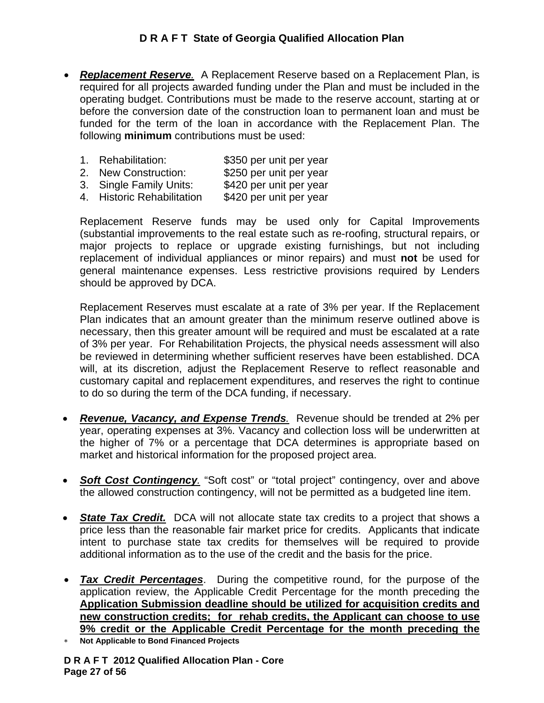- *Replacement Reserve.* A Replacement Reserve based on a Replacement Plan, is required for all projects awarded funding under the Plan and must be included in the operating budget. Contributions must be made to the reserve account, starting at or before the conversion date of the construction loan to permanent loan and must be funded for the term of the loan in accordance with the Replacement Plan. The following **minimum** contributions must be used:
	- 1. Rehabilitation: \$350 per unit per year
	- 2. New Construction: \$250 per unit per year
	- 3. Single Family Units: \$420 per unit per year
	- 4. Historic Rehabilitation \$420 per unit per year

Replacement Reserve funds may be used only for Capital Improvements (substantial improvements to the real estate such as re-roofing, structural repairs, or major projects to replace or upgrade existing furnishings, but not including replacement of individual appliances or minor repairs) and must **not** be used for general maintenance expenses. Less restrictive provisions required by Lenders should be approved by DCA.

Replacement Reserves must escalate at a rate of 3% per year. If the Replacement Plan indicates that an amount greater than the minimum reserve outlined above is necessary, then this greater amount will be required and must be escalated at a rate of 3% per year. For Rehabilitation Projects, the physical needs assessment will also be reviewed in determining whether sufficient reserves have been established. DCA will, at its discretion, adjust the Replacement Reserve to reflect reasonable and customary capital and replacement expenditures, and reserves the right to continue to do so during the term of the DCA funding, if necessary.

- *Revenue, Vacancy, and Expense Trends.* Revenue should be trended at 2% per year, operating expenses at 3%. Vacancy and collection loss will be underwritten at the higher of 7% or a percentage that DCA determines is appropriate based on market and historical information for the proposed project area.
- **Soft Cost Contingency** "Soft cost" or "total project" contingency, over and above the allowed construction contingency, will not be permitted as a budgeted line item.
- **State Tax Credit.** DCA will not allocate state tax credits to a project that shows a price less than the reasonable fair market price for credits. Applicants that indicate intent to purchase state tax credits for themselves will be required to provide additional information as to the use of the credit and the basis for the price.
- *Tax Credit Percentages*. During the competitive round, for the purpose of the application review, the Applicable Credit Percentage for the month preceding the **Application Submission deadline should be utilized for acquisition credits and new construction credits; for rehab credits, the Applicant can choose to use 9% credit or the Applicable Credit Percentage for the month preceding the**
- **Not Applicable to Bond Financed Projects**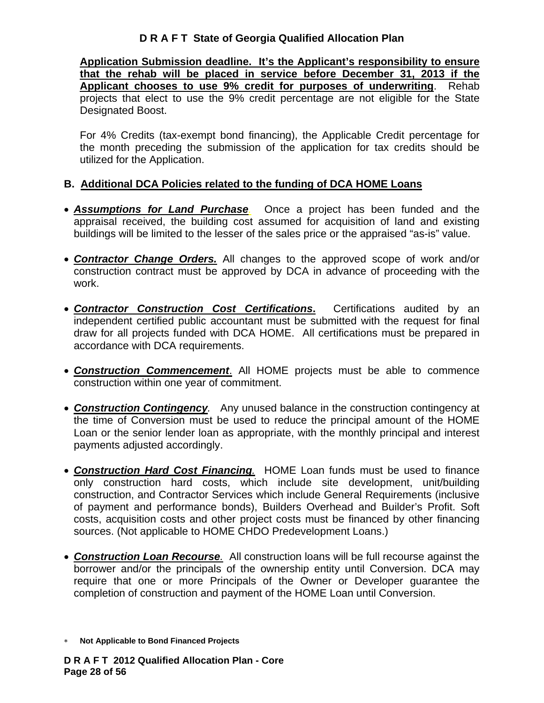**Application Submission deadline. It's the Applicant's responsibility to ensure that the rehab will be placed in service before December 31, 2013 if the Applicant chooses to use 9% credit for purposes of underwriting**. Rehab projects that elect to use the 9% credit percentage are not eligible for the State Designated Boost.

For 4% Credits (tax-exempt bond financing), the Applicable Credit percentage for the month preceding the submission of the application for tax credits should be utilized for the Application.

#### **B. Additional DCA Policies related to the funding of DCA HOME Loans**

- *Assumptions for Land Purchase.*Once a project has been funded and the appraisal received, the building cost assumed for acquisition of land and existing buildings will be limited to the lesser of the sales price or the appraised "as-is" value.
- *Contractor Change Orders.* All changes to the approved scope of work and/or construction contract must be approved by DCA in advance of proceeding with the work.
- *Contractor Construction Cost Certifications***.** Certifications audited by an independent certified public accountant must be submitted with the request for final draw for all projects funded with DCA HOME. All certifications must be prepared in accordance with DCA requirements.
- *Construction Commencement*. All HOME projects must be able to commence construction within one year of commitment.
- *Construction Contingency.* Any unused balance in the construction contingency at the time of Conversion must be used to reduce the principal amount of the HOME Loan or the senior lender loan as appropriate, with the monthly principal and interest payments adjusted accordingly.
- *Construction Hard Cost Financing.* HOME Loan funds must be used to finance only construction hard costs, which include site development, unit/building construction, and Contractor Services which include General Requirements (inclusive of payment and performance bonds), Builders Overhead and Builder's Profit. Soft costs, acquisition costs and other project costs must be financed by other financing sources. (Not applicable to HOME CHDO Predevelopment Loans.)
- *Construction Loan Recourse.* All construction loans will be full recourse against the borrower and/or the principals of the ownership entity until Conversion. DCA may require that one or more Principals of the Owner or Developer guarantee the completion of construction and payment of the HOME Loan until Conversion.
- ∗ **Not Applicable to Bond Financed Projects**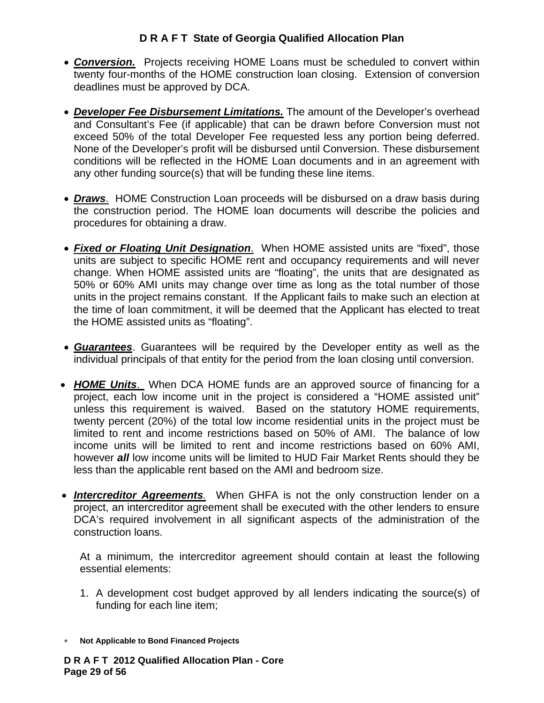- **Conversion.** Projects receiving HOME Loans must be scheduled to convert within twenty four-months of the HOME construction loan closing. Extension of conversion deadlines must be approved by DCA.
- *Developer Fee Disbursement Limitations.* The amount of the Developer's overhead and Consultant's Fee (if applicable) that can be drawn before Conversion must not exceed 50% of the total Developer Fee requested less any portion being deferred. None of the Developer's profit will be disbursed until Conversion. These disbursement conditions will be reflected in the HOME Loan documents and in an agreement with any other funding source(s) that will be funding these line items.
- *Draws*. HOME Construction Loan proceeds will be disbursed on a draw basis during the construction period. The HOME loan documents will describe the policies and procedures for obtaining a draw.
- *Fixed or Floating Unit Designation*. When HOME assisted units are "fixed", those units are subject to specific HOME rent and occupancy requirements and will never change. When HOME assisted units are "floating", the units that are designated as 50% or 60% AMI units may change over time as long as the total number of those units in the project remains constant. If the Applicant fails to make such an election at the time of loan commitment, it will be deemed that the Applicant has elected to treat the HOME assisted units as "floating".
- *Guarantees*. Guarantees will be required by the Developer entity as well as the individual principals of that entity for the period from the loan closing until conversion.
- *HOME Units*. When DCA HOME funds are an approved source of financing for a project, each low income unit in the project is considered a "HOME assisted unit" unless this requirement is waived. Based on the statutory HOME requirements, twenty percent (20%) of the total low income residential units in the project must be limited to rent and income restrictions based on 50% of AMI. The balance of low income units will be limited to rent and income restrictions based on 60% AMI, however *all* low income units will be limited to HUD Fair Market Rents should they be less than the applicable rent based on the AMI and bedroom size.
- *Intercreditor Agreements.* When GHFA is not the only construction lender on a project, an intercreditor agreement shall be executed with the other lenders to ensure DCA's required involvement in all significant aspects of the administration of the construction loans.

At a minimum, the intercreditor agreement should contain at least the following essential elements:

- 1. A development cost budget approved by all lenders indicating the source(s) of funding for each line item;
- ∗ **Not Applicable to Bond Financed Projects**

**D R A F T 2012 Qualified Allocation Plan - Core Page 29 of 56**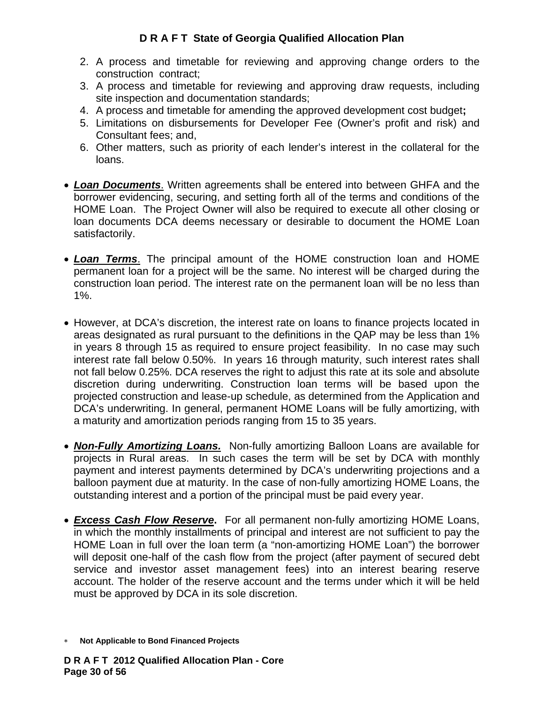- 2. A process and timetable for reviewing and approving change orders to the construction contract;
- 3. A process and timetable for reviewing and approving draw requests, including site inspection and documentation standards;
- 4. A process and timetable for amending the approved development cost budget**;**
- 5. Limitations on disbursements for Developer Fee (Owner's profit and risk) and Consultant fees; and,
- 6. Other matters, such as priority of each lender's interest in the collateral for the loans.
- *Loan Documents*. Written agreements shall be entered into between GHFA and the borrower evidencing, securing, and setting forth all of the terms and conditions of the HOME Loan. The Project Owner will also be required to execute all other closing or loan documents DCA deems necessary or desirable to document the HOME Loan satisfactorily.
- *Loan Terms*. The principal amount of the HOME construction loan and HOME permanent loan for a project will be the same. No interest will be charged during the construction loan period. The interest rate on the permanent loan will be no less than 1%.
- However, at DCA's discretion, the interest rate on loans to finance projects located in areas designated as rural pursuant to the definitions in the QAP may be less than 1% in years 8 through 15 as required to ensure project feasibility. In no case may such interest rate fall below 0.50%. In years 16 through maturity, such interest rates shall not fall below 0.25%. DCA reserves the right to adjust this rate at its sole and absolute discretion during underwriting. Construction loan terms will be based upon the projected construction and lease-up schedule, as determined from the Application and DCA's underwriting. In general, permanent HOME Loans will be fully amortizing, with a maturity and amortization periods ranging from 15 to 35 years.
- *Non-Fully Amortizing Loans.* Non-fully amortizing Balloon Loans are available for projects in Rural areas. In such cases the term will be set by DCA with monthly payment and interest payments determined by DCA's underwriting projections and a balloon payment due at maturity. In the case of non-fully amortizing HOME Loans, the outstanding interest and a portion of the principal must be paid every year.
- *Excess Cash Flow Reserve***.** For all permanent non-fully amortizing HOME Loans, in which the monthly installments of principal and interest are not sufficient to pay the HOME Loan in full over the loan term (a "non-amortizing HOME Loan") the borrower will deposit one-half of the cash flow from the project (after payment of secured debt service and investor asset management fees) into an interest bearing reserve account. The holder of the reserve account and the terms under which it will be held must be approved by DCA in its sole discretion.
- ∗ **Not Applicable to Bond Financed Projects**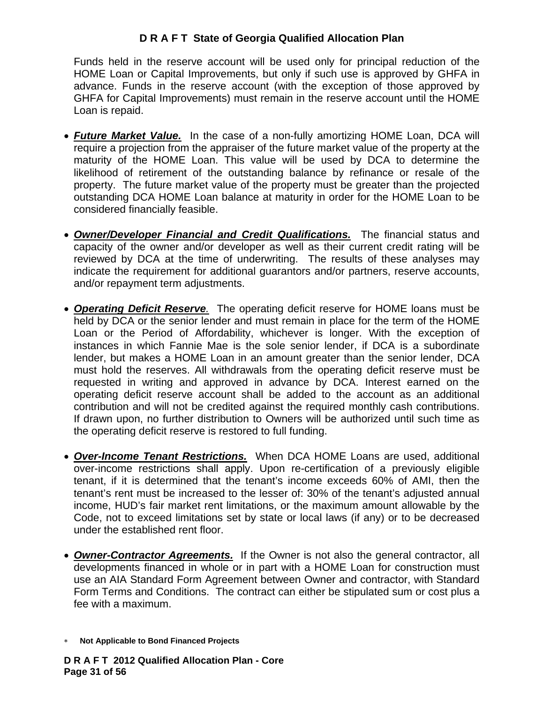Funds held in the reserve account will be used only for principal reduction of the HOME Loan or Capital Improvements, but only if such use is approved by GHFA in advance. Funds in the reserve account (with the exception of those approved by GHFA for Capital Improvements) must remain in the reserve account until the HOME Loan is repaid.

- *Future Market Value.*In the case of a non-fully amortizing HOME Loan, DCA will require a projection from the appraiser of the future market value of the property at the maturity of the HOME Loan. This value will be used by DCA to determine the likelihood of retirement of the outstanding balance by refinance or resale of the property. The future market value of the property must be greater than the projected outstanding DCA HOME Loan balance at maturity in order for the HOME Loan to be considered financially feasible.
- *Owner/Developer Financial and Credit Qualifications.* The financial status and capacity of the owner and/or developer as well as their current credit rating will be reviewed by DCA at the time of underwriting. The results of these analyses may indicate the requirement for additional guarantors and/or partners, reserve accounts, and/or repayment term adjustments.
- *Operating Deficit Reserve.* The operating deficit reserve for HOME loans must be held by DCA or the senior lender and must remain in place for the term of the HOME Loan or the Period of Affordability, whichever is longer. With the exception of instances in which Fannie Mae is the sole senior lender, if DCA is a subordinate lender, but makes a HOME Loan in an amount greater than the senior lender, DCA must hold the reserves. All withdrawals from the operating deficit reserve must be requested in writing and approved in advance by DCA. Interest earned on the operating deficit reserve account shall be added to the account as an additional contribution and will not be credited against the required monthly cash contributions. If drawn upon, no further distribution to Owners will be authorized until such time as the operating deficit reserve is restored to full funding.
- *Over-Income Tenant Restrictions.*When DCA HOME Loans are used, additional over-income restrictions shall apply. Upon re-certification of a previously eligible tenant, if it is determined that the tenant's income exceeds 60% of AMI, then the tenant's rent must be increased to the lesser of: 30% of the tenant's adjusted annual income, HUD's fair market rent limitations, or the maximum amount allowable by the Code, not to exceed limitations set by state or local laws (if any) or to be decreased under the established rent floor.
- *Owner-Contractor Agreements.* If the Owner is not also the general contractor, all developments financed in whole or in part with a HOME Loan for construction must use an AIA Standard Form Agreement between Owner and contractor, with Standard Form Terms and Conditions. The contract can either be stipulated sum or cost plus a fee with a maximum.
- ∗ **Not Applicable to Bond Financed Projects**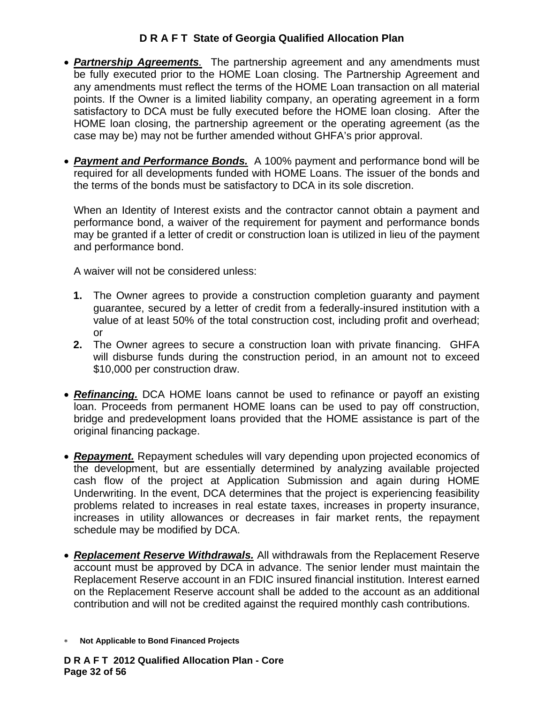- *Partnership Agreements.* The partnership agreement and any amendments must be fully executed prior to the HOME Loan closing. The Partnership Agreement and any amendments must reflect the terms of the HOME Loan transaction on all material points. If the Owner is a limited liability company, an operating agreement in a form satisfactory to DCA must be fully executed before the HOME loan closing. After the HOME loan closing, the partnership agreement or the operating agreement (as the case may be) may not be further amended without GHFA's prior approval.
- *Payment and Performance Bonds.* A 100% payment and performance bond will be required for all developments funded with HOME Loans. The issuer of the bonds and the terms of the bonds must be satisfactory to DCA in its sole discretion.

When an Identity of Interest exists and the contractor cannot obtain a payment and performance bond, a waiver of the requirement for payment and performance bonds may be granted if a letter of credit or construction loan is utilized in lieu of the payment and performance bond.

A waiver will not be considered unless:

- **1.** The Owner agrees to provide a construction completion guaranty and payment guarantee, secured by a letter of credit from a federally-insured institution with a value of at least 50% of the total construction cost, including profit and overhead; or
- **2.** The Owner agrees to secure a construction loan with private financing. GHFA will disburse funds during the construction period, in an amount not to exceed \$10,000 per construction draw.
- **Refinancing.** DCA HOME loans cannot be used to refinance or payoff an existing loan. Proceeds from permanent HOME loans can be used to pay off construction, bridge and predevelopment loans provided that the HOME assistance is part of the original financing package.
- *Repayment.* Repayment schedules will vary depending upon projected economics of the development, but are essentially determined by analyzing available projected cash flow of the project at Application Submission and again during HOME Underwriting. In the event, DCA determines that the project is experiencing feasibility problems related to increases in real estate taxes, increases in property insurance, increases in utility allowances or decreases in fair market rents, the repayment schedule may be modified by DCA.
- *Replacement Reserve Withdrawals.* All withdrawals from the Replacement Reserve account must be approved by DCA in advance. The senior lender must maintain the Replacement Reserve account in an FDIC insured financial institution. Interest earned on the Replacement Reserve account shall be added to the account as an additional contribution and will not be credited against the required monthly cash contributions.
- ∗ **Not Applicable to Bond Financed Projects**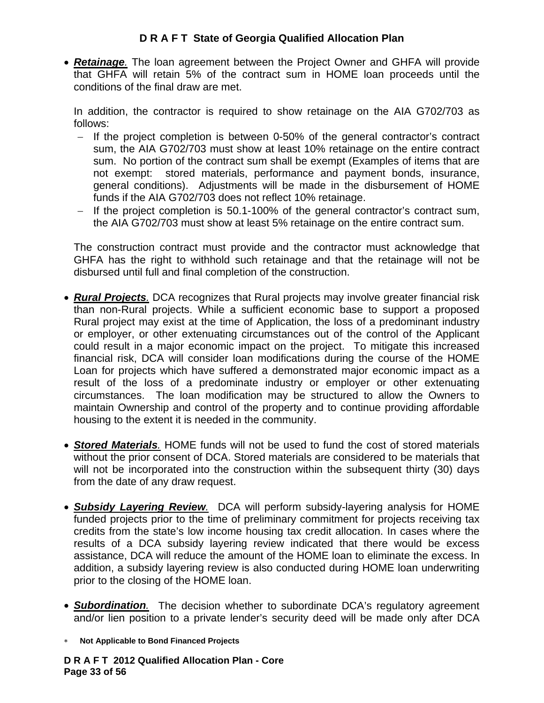• *Retainage.* The loan agreement between the Project Owner and GHFA will provide that GHFA will retain 5% of the contract sum in HOME loan proceeds until the conditions of the final draw are met.

In addition, the contractor is required to show retainage on the AIA G702/703 as follows:

- − If the project completion is between 0-50% of the general contractor's contract sum, the AIA G702/703 must show at least 10% retainage on the entire contract sum. No portion of the contract sum shall be exempt (Examples of items that are not exempt: stored materials, performance and payment bonds, insurance, general conditions). Adjustments will be made in the disbursement of HOME funds if the AIA G702/703 does not reflect 10% retainage.
- − If the project completion is 50.1-100% of the general contractor's contract sum, the AIA G702/703 must show at least 5% retainage on the entire contract sum.

The construction contract must provide and the contractor must acknowledge that GHFA has the right to withhold such retainage and that the retainage will not be disbursed until full and final completion of the construction.

- *Rural Projects.* DCA recognizes that Rural projects may involve greater financial risk than non-Rural projects. While a sufficient economic base to support a proposed Rural project may exist at the time of Application, the loss of a predominant industry or employer, or other extenuating circumstances out of the control of the Applicant could result in a major economic impact on the project. To mitigate this increased financial risk, DCA will consider loan modifications during the course of the HOME Loan for projects which have suffered a demonstrated major economic impact as a result of the loss of a predominate industry or employer or other extenuating circumstances. The loan modification may be structured to allow the Owners to maintain Ownership and control of the property and to continue providing affordable housing to the extent it is needed in the community.
- *Stored Materials.* HOME funds will not be used to fund the cost of stored materials without the prior consent of DCA. Stored materials are considered to be materials that will not be incorporated into the construction within the subsequent thirty (30) days from the date of any draw request.
- *Subsidy Layering Review.* DCA will perform subsidy-layering analysis for HOME funded projects prior to the time of preliminary commitment for projects receiving tax credits from the state's low income housing tax credit allocation. In cases where the results of a DCA subsidy layering review indicated that there would be excess assistance, DCA will reduce the amount of the HOME loan to eliminate the excess. In addition, a subsidy layering review is also conducted during HOME loan underwriting prior to the closing of the HOME loan.
- *Subordination.* The decision whether to subordinate DCA's regulatory agreement and/or lien position to a private lender's security deed will be made only after DCA
- ∗ **Not Applicable to Bond Financed Projects**

**D R A F T 2012 Qualified Allocation Plan - Core Page 33 of 56**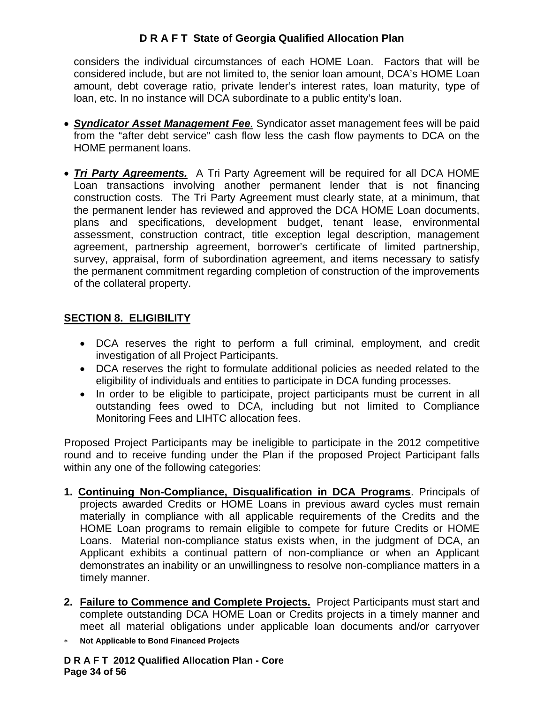considers the individual circumstances of each HOME Loan. Factors that will be considered include, but are not limited to, the senior loan amount, DCA's HOME Loan amount, debt coverage ratio, private lender's interest rates, loan maturity, type of loan, etc. In no instance will DCA subordinate to a public entity's loan.

- *Syndicator Asset Management Fee.* Syndicator asset management fees will be paid from the "after debt service" cash flow less the cash flow payments to DCA on the HOME permanent loans.
- *Tri Party Agreements.* A Tri Party Agreement will be required for all DCA HOME Loan transactions involving another permanent lender that is not financing construction costs. The Tri Party Agreement must clearly state, at a minimum, that the permanent lender has reviewed and approved the DCA HOME Loan documents, plans and specifications, development budget, tenant lease, environmental assessment, construction contract, title exception legal description, management agreement, partnership agreement, borrower's certificate of limited partnership, survey, appraisal, form of subordination agreement, and items necessary to satisfy the permanent commitment regarding completion of construction of the improvements of the collateral property.

## **SECTION 8. ELIGIBILITY**

- DCA reserves the right to perform a full criminal, employment, and credit investigation of all Project Participants.
- DCA reserves the right to formulate additional policies as needed related to the eligibility of individuals and entities to participate in DCA funding processes.
- In order to be eligible to participate, project participants must be current in all outstanding fees owed to DCA, including but not limited to Compliance Monitoring Fees and LIHTC allocation fees.

Proposed Project Participants may be ineligible to participate in the 2012 competitive round and to receive funding under the Plan if the proposed Project Participant falls within any one of the following categories:

- **1. Continuing Non-Compliance, Disqualification in DCA Programs**. Principals of projects awarded Credits or HOME Loans in previous award cycles must remain materially in compliance with all applicable requirements of the Credits and the HOME Loan programs to remain eligible to compete for future Credits or HOME Loans. Material non-compliance status exists when, in the judgment of DCA, an Applicant exhibits a continual pattern of non-compliance or when an Applicant demonstrates an inability or an unwillingness to resolve non-compliance matters in a timely manner.
- **2. Failure to Commence and Complete Projects.** Project Participants must start and complete outstanding DCA HOME Loan or Credits projects in a timely manner and meet all material obligations under applicable loan documents and/or carryover
- ∗ **Not Applicable to Bond Financed Projects**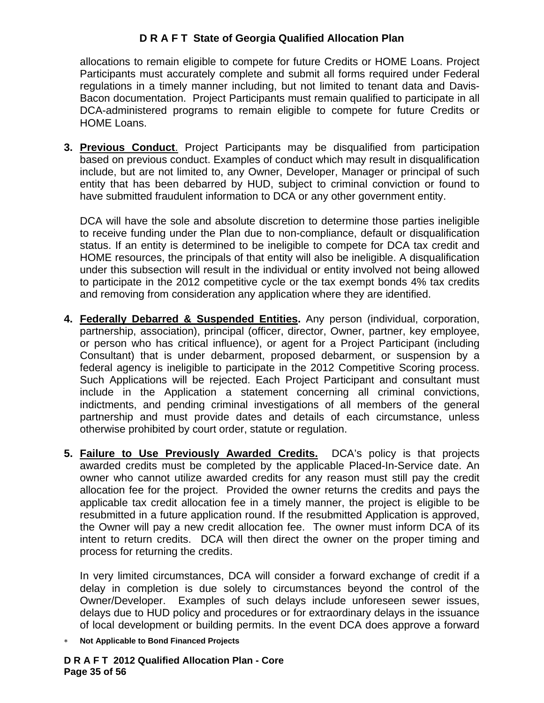allocations to remain eligible to compete for future Credits or HOME Loans. Project Participants must accurately complete and submit all forms required under Federal regulations in a timely manner including, but not limited to tenant data and Davis-Bacon documentation. Project Participants must remain qualified to participate in all DCA-administered programs to remain eligible to compete for future Credits or HOME Loans.

**3. Previous Conduct**. Project Participants may be disqualified from participation based on previous conduct. Examples of conduct which may result in disqualification include, but are not limited to, any Owner, Developer, Manager or principal of such entity that has been debarred by HUD, subject to criminal conviction or found to have submitted fraudulent information to DCA or any other government entity.

DCA will have the sole and absolute discretion to determine those parties ineligible to receive funding under the Plan due to non-compliance, default or disqualification status. If an entity is determined to be ineligible to compete for DCA tax credit and HOME resources, the principals of that entity will also be ineligible. A disqualification under this subsection will result in the individual or entity involved not being allowed to participate in the 2012 competitive cycle or the tax exempt bonds 4% tax credits and removing from consideration any application where they are identified.

- **4. Federally Debarred & Suspended Entities.** Any person (individual, corporation, partnership, association), principal (officer, director, Owner, partner, key employee, or person who has critical influence), or agent for a Project Participant (including Consultant) that is under debarment, proposed debarment, or suspension by a federal agency is ineligible to participate in the 2012 Competitive Scoring process. Such Applications will be rejected. Each Project Participant and consultant must include in the Application a statement concerning all criminal convictions, indictments, and pending criminal investigations of all members of the general partnership and must provide dates and details of each circumstance, unless otherwise prohibited by court order, statute or regulation.
- **5. Failure to Use Previously Awarded Credits.** DCA's policy is that projects awarded credits must be completed by the applicable Placed-In-Service date. An owner who cannot utilize awarded credits for any reason must still pay the credit allocation fee for the project. Provided the owner returns the credits and pays the applicable tax credit allocation fee in a timely manner, the project is eligible to be resubmitted in a future application round. If the resubmitted Application is approved, the Owner will pay a new credit allocation fee. The owner must inform DCA of its intent to return credits. DCA will then direct the owner on the proper timing and process for returning the credits.

In very limited circumstances, DCA will consider a forward exchange of credit if a delay in completion is due solely to circumstances beyond the control of the Owner/Developer. Examples of such delays include unforeseen sewer issues, delays due to HUD policy and procedures or for extraordinary delays in the issuance of local development or building permits. In the event DCA does approve a forward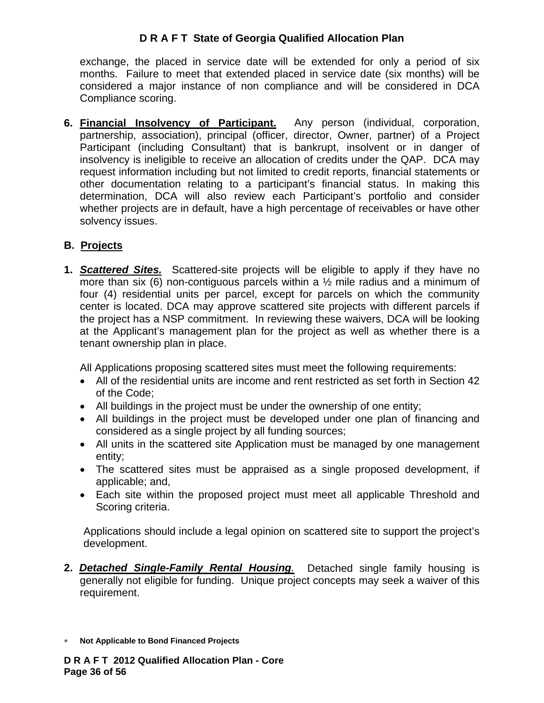exchange, the placed in service date will be extended for only a period of six months. Failure to meet that extended placed in service date (six months) will be considered a major instance of non compliance and will be considered in DCA Compliance scoring.

**6. Financial Insolvency of Participant.** Any person (individual, corporation, partnership, association), principal (officer, director, Owner, partner) of a Project Participant (including Consultant) that is bankrupt, insolvent or in danger of insolvency is ineligible to receive an allocation of credits under the QAP. DCA may request information including but not limited to credit reports, financial statements or other documentation relating to a participant's financial status. In making this determination, DCA will also review each Participant's portfolio and consider whether projects are in default, have a high percentage of receivables or have other solvency issues.

# **B. Projects**

**1.** *Scattered Sites.* Scattered-site projects will be eligible to apply if they have no more than six (6) non-contiguous parcels within a  $\frac{1}{2}$  mile radius and a minimum of four (4) residential units per parcel, except for parcels on which the community center is located. DCA may approve scattered site projects with different parcels if the project has a NSP commitment. In reviewing these waivers, DCA will be looking at the Applicant's management plan for the project as well as whether there is a tenant ownership plan in place.

All Applications proposing scattered sites must meet the following requirements:

- All of the residential units are income and rent restricted as set forth in Section 42 of the Code;
- All buildings in the project must be under the ownership of one entity;
- All buildings in the project must be developed under one plan of financing and considered as a single project by all funding sources;
- All units in the scattered site Application must be managed by one management entity;
- The scattered sites must be appraised as a single proposed development, if applicable; and,
- Each site within the proposed project must meet all applicable Threshold and Scoring criteria.

Applications should include a legal opinion on scattered site to support the project's development.

**2.** *Detached Single-Family Rental Housing.* Detached single family housing is generally not eligible for funding. Unique project concepts may seek a waiver of this requirement.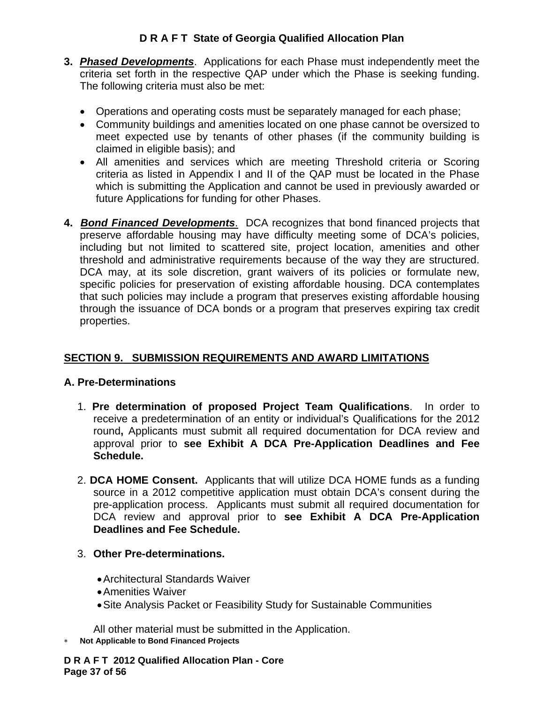- **3.** *Phased Developments*. Applications for each Phase must independently meet the criteria set forth in the respective QAP under which the Phase is seeking funding. The following criteria must also be met:
	- Operations and operating costs must be separately managed for each phase;
	- Community buildings and amenities located on one phase cannot be oversized to meet expected use by tenants of other phases (if the community building is claimed in eligible basis); and
	- All amenities and services which are meeting Threshold criteria or Scoring criteria as listed in Appendix I and II of the QAP must be located in the Phase which is submitting the Application and cannot be used in previously awarded or future Applications for funding for other Phases.
- **4.** *Bond Financed Developments*. DCA recognizes that bond financed projects that preserve affordable housing may have difficulty meeting some of DCA's policies, including but not limited to scattered site, project location, amenities and other threshold and administrative requirements because of the way they are structured. DCA may, at its sole discretion, grant waivers of its policies or formulate new, specific policies for preservation of existing affordable housing. DCA contemplates that such policies may include a program that preserves existing affordable housing through the issuance of DCA bonds or a program that preserves expiring tax credit properties.

# **SECTION 9. SUBMISSION REQUIREMENTS AND AWARD LIMITATIONS**

## **A. Pre-Determinations**

- 1. **Pre determination of proposed Project Team Qualifications**. In order to receive a predetermination of an entity or individual's Qualifications for the 2012 round**,** Applicants must submit all required documentation for DCA review and approval prior to **see Exhibit A DCA Pre-Application Deadlines and Fee Schedule.**
- 2. **DCA HOME Consent.** Applicants that will utilize DCA HOME funds as a funding source in a 2012 competitive application must obtain DCA's consent during the pre-application process. Applicants must submit all required documentation for DCA review and approval prior to **see Exhibit A DCA Pre-Application Deadlines and Fee Schedule.**
- 3. **Other Pre-determinations.** 
	- Architectural Standards Waiver
	- Amenities Waiver
	- Site Analysis Packet or Feasibility Study for Sustainable Communities

All other material must be submitted in the Application.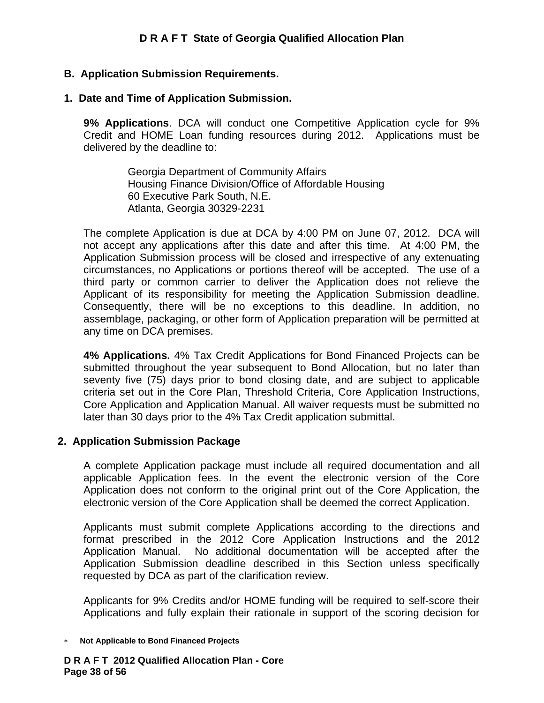#### **B. Application Submission Requirements.**

#### **1. Date and Time of Application Submission.**

**9% Applications**. DCA will conduct one Competitive Application cycle for 9% Credit and HOME Loan funding resources during 2012. Applications must be delivered by the deadline to:

> Georgia Department of Community Affairs Housing Finance Division/Office of Affordable Housing 60 Executive Park South, N.E. Atlanta, Georgia 30329-2231

The complete Application is due at DCA by 4:00 PM on June 07, 2012. DCA will not accept any applications after this date and after this time. At 4:00 PM, the Application Submission process will be closed and irrespective of any extenuating circumstances, no Applications or portions thereof will be accepted. The use of a third party or common carrier to deliver the Application does not relieve the Applicant of its responsibility for meeting the Application Submission deadline. Consequently, there will be no exceptions to this deadline. In addition, no assemblage, packaging, or other form of Application preparation will be permitted at any time on DCA premises.

**4% Applications.** 4% Tax Credit Applications for Bond Financed Projects can be submitted throughout the year subsequent to Bond Allocation, but no later than seventy five (75) days prior to bond closing date, and are subject to applicable criteria set out in the Core Plan, Threshold Criteria, Core Application Instructions, Core Application and Application Manual. All waiver requests must be submitted no later than 30 days prior to the 4% Tax Credit application submittal.

#### **2. Application Submission Package**

A complete Application package must include all required documentation and all applicable Application fees. In the event the electronic version of the Core Application does not conform to the original print out of the Core Application, the electronic version of the Core Application shall be deemed the correct Application.

Applicants must submit complete Applications according to the directions and format prescribed in the 2012 Core Application Instructions and the 2012 Application Manual. No additional documentation will be accepted after the Application Submission deadline described in this Section unless specifically requested by DCA as part of the clarification review.

Applicants for 9% Credits and/or HOME funding will be required to self-score their Applications and fully explain their rationale in support of the scoring decision for

∗ **Not Applicable to Bond Financed Projects** 

**D R A F T 2012 Qualified Allocation Plan - Core Page 38 of 56**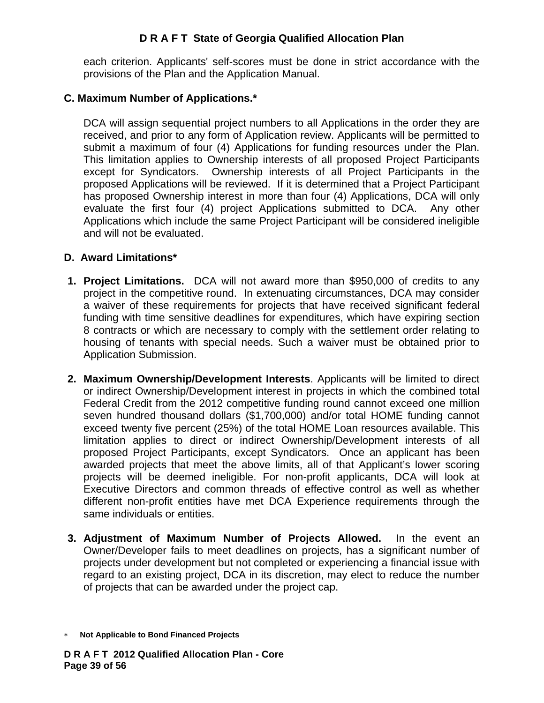each criterion. Applicants' self-scores must be done in strict accordance with the provisions of the Plan and the Application Manual.

#### **C. Maximum Number of Applications.\***

DCA will assign sequential project numbers to all Applications in the order they are received, and prior to any form of Application review. Applicants will be permitted to submit a maximum of four (4) Applications for funding resources under the Plan. This limitation applies to Ownership interests of all proposed Project Participants except for Syndicators. Ownership interests of all Project Participants in the proposed Applications will be reviewed. If it is determined that a Project Participant has proposed Ownership interest in more than four (4) Applications, DCA will only evaluate the first four (4) project Applications submitted to DCA. Any other Applications which include the same Project Participant will be considered ineligible and will not be evaluated.

#### **D. Award Limitations\***

- **1. Project Limitations.** DCA will not award more than \$950,000 of credits to any project in the competitive round. In extenuating circumstances, DCA may consider a waiver of these requirements for projects that have received significant federal funding with time sensitive deadlines for expenditures, which have expiring section 8 contracts or which are necessary to comply with the settlement order relating to housing of tenants with special needs. Such a waiver must be obtained prior to Application Submission.
- **2. Maximum Ownership/Development Interests**. Applicants will be limited to direct or indirect Ownership/Development interest in projects in which the combined total Federal Credit from the 2012 competitive funding round cannot exceed one million seven hundred thousand dollars (\$1,700,000) and/or total HOME funding cannot exceed twenty five percent (25%) of the total HOME Loan resources available. This limitation applies to direct or indirect Ownership/Development interests of all proposed Project Participants, except Syndicators. Once an applicant has been awarded projects that meet the above limits, all of that Applicant's lower scoring projects will be deemed ineligible. For non-profit applicants, DCA will look at Executive Directors and common threads of effective control as well as whether different non-profit entities have met DCA Experience requirements through the same individuals or entities.
- **3. Adjustment of Maximum Number of Projects Allowed.** In the event an Owner/Developer fails to meet deadlines on projects, has a significant number of projects under development but not completed or experiencing a financial issue with regard to an existing project, DCA in its discretion, may elect to reduce the number of projects that can be awarded under the project cap.

<sup>∗</sup> **Not Applicable to Bond Financed Projects**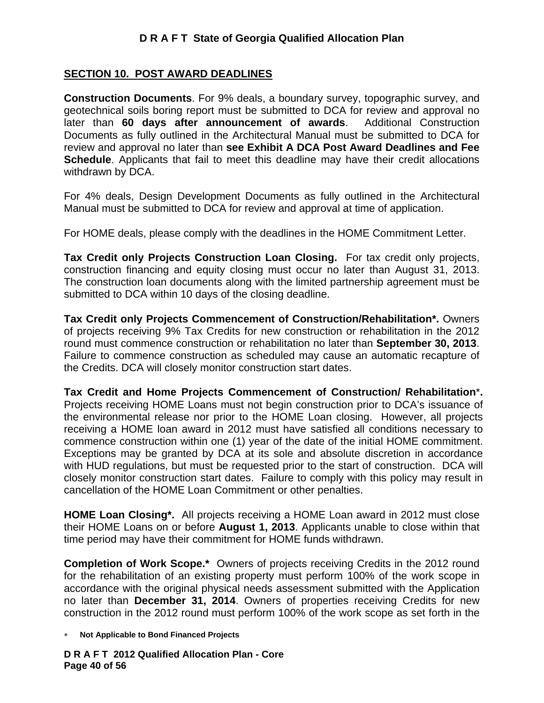#### **SECTION 10. POST AWARD DEADLINES**

**Construction Documents**. For 9% deals, a boundary survey, topographic survey, and geotechnical soils boring report must be submitted to DCA for review and approval no later than **60 days after announcement of awards**. Additional Construction Documents as fully outlined in the Architectural Manual must be submitted to DCA for review and approval no later than **see Exhibit A DCA Post Award Deadlines and Fee Schedule**. Applicants that fail to meet this deadline may have their credit allocations withdrawn by DCA.

For 4% deals, Design Development Documents as fully outlined in the Architectural Manual must be submitted to DCA for review and approval at time of application.

For HOME deals, please comply with the deadlines in the HOME Commitment Letter.

**Tax Credit only Projects Construction Loan Closing.** For tax credit only projects, construction financing and equity closing must occur no later than August 31, 2013. The construction loan documents along with the limited partnership agreement must be submitted to DCA within 10 days of the closing deadline.

**Tax Credit only Projects Commencement of Construction/Rehabilitation\*.** Owners of projects receiving 9% Tax Credits for new construction or rehabilitation in the 2012 round must commence construction or rehabilitation no later than **September 30, 2013**. Failure to commence construction as scheduled may cause an automatic recapture of the Credits. DCA will closely monitor construction start dates.

**Tax Credit and Home Projects Commencement of Construction/ Rehabilitation**\***.** Projects receiving HOME Loans must not begin construction prior to DCA's issuance of the environmental release nor prior to the HOME Loan closing. However, all projects receiving a HOME loan award in 2012 must have satisfied all conditions necessary to commence construction within one (1) year of the date of the initial HOME commitment. Exceptions may be granted by DCA at its sole and absolute discretion in accordance with HUD regulations, but must be requested prior to the start of construction. DCA will closely monitor construction start dates. Failure to comply with this policy may result in cancellation of the HOME Loan Commitment or other penalties.

**HOME Loan Closing\*.** All projects receiving a HOME Loan award in 2012 must close their HOME Loans on or before **August 1, 2013**. Applicants unable to close within that time period may have their commitment for HOME funds withdrawn.

**Completion of Work Scope.\*** Owners of projects receiving Credits in the 2012 round for the rehabilitation of an existing property must perform 100% of the work scope in accordance with the original physical needs assessment submitted with the Application no later than **December 31, 2014**. Owners of properties receiving Credits for new construction in the 2012 round must perform 100% of the work scope as set forth in the

∗ **Not Applicable to Bond Financed Projects** 

**D R A F T 2012 Qualified Allocation Plan - Core Page 40 of 56**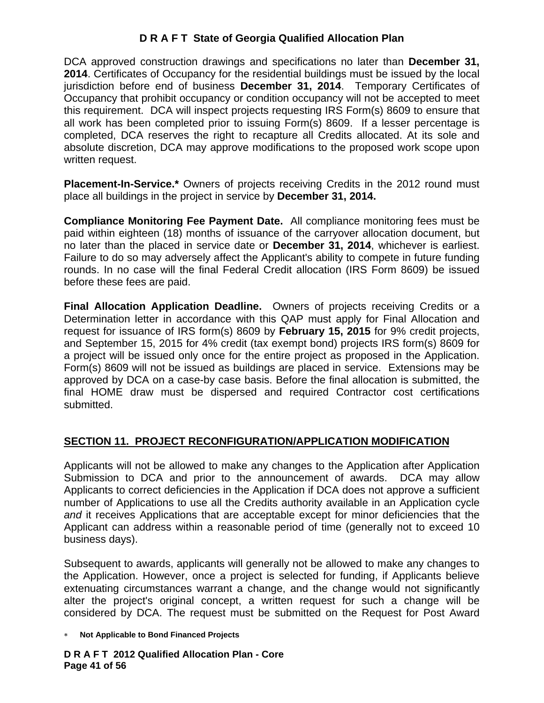DCA approved construction drawings and specifications no later than **December 31, 2014**. Certificates of Occupancy for the residential buildings must be issued by the local jurisdiction before end of business **December 31, 2014**. Temporary Certificates of Occupancy that prohibit occupancy or condition occupancy will not be accepted to meet this requirement. DCA will inspect projects requesting IRS Form(s) 8609 to ensure that all work has been completed prior to issuing Form(s) 8609. If a lesser percentage is completed, DCA reserves the right to recapture all Credits allocated. At its sole and absolute discretion, DCA may approve modifications to the proposed work scope upon written request.

**Placement-In-Service.\*** Owners of projects receiving Credits in the 2012 round must place all buildings in the project in service by **December 31, 2014.**

**Compliance Monitoring Fee Payment Date.** All compliance monitoring fees must be paid within eighteen (18) months of issuance of the carryover allocation document, but no later than the placed in service date or **December 31, 2014**, whichever is earliest. Failure to do so may adversely affect the Applicant's ability to compete in future funding rounds. In no case will the final Federal Credit allocation (IRS Form 8609) be issued before these fees are paid.

**Final Allocation Application Deadline.** Owners of projects receiving Credits or a Determination letter in accordance with this QAP must apply for Final Allocation and request for issuance of IRS form(s) 8609 by **February 15, 2015** for 9% credit projects, and September 15, 2015 for 4% credit (tax exempt bond) projects IRS form(s) 8609 for a project will be issued only once for the entire project as proposed in the Application. Form(s) 8609 will not be issued as buildings are placed in service. Extensions may be approved by DCA on a case-by case basis. Before the final allocation is submitted, the final HOME draw must be dispersed and required Contractor cost certifications submitted.

# **SECTION 11. PROJECT RECONFIGURATION/APPLICATION MODIFICATION**

Applicants will not be allowed to make any changes to the Application after Application Submission to DCA and prior to the announcement of awards. DCA may allow Applicants to correct deficiencies in the Application if DCA does not approve a sufficient number of Applications to use all the Credits authority available in an Application cycle *and* it receives Applications that are acceptable except for minor deficiencies that the Applicant can address within a reasonable period of time (generally not to exceed 10 business days).

Subsequent to awards, applicants will generally not be allowed to make any changes to the Application. However, once a project is selected for funding, if Applicants believe extenuating circumstances warrant a change, and the change would not significantly alter the project's original concept, a written request for such a change will be considered by DCA. The request must be submitted on the Request for Post Award

∗ **Not Applicable to Bond Financed Projects** 

**D R A F T 2012 Qualified Allocation Plan - Core Page 41 of 56**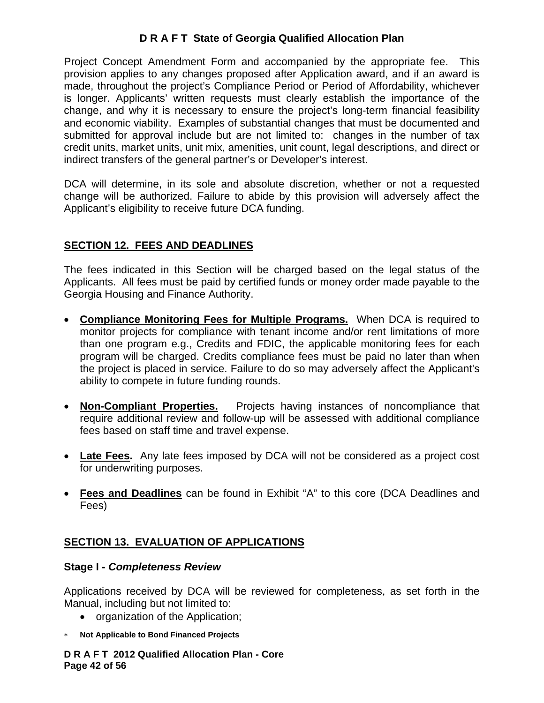Project Concept Amendment Form and accompanied by the appropriate fee. This provision applies to any changes proposed after Application award, and if an award is made, throughout the project's Compliance Period or Period of Affordability, whichever is longer. Applicants' written requests must clearly establish the importance of the change, and why it is necessary to ensure the project's long-term financial feasibility and economic viability. Examples of substantial changes that must be documented and submitted for approval include but are not limited to: changes in the number of tax credit units, market units, unit mix, amenities, unit count, legal descriptions, and direct or indirect transfers of the general partner's or Developer's interest.

DCA will determine, in its sole and absolute discretion, whether or not a requested change will be authorized. Failure to abide by this provision will adversely affect the Applicant's eligibility to receive future DCA funding.

# **SECTION 12. FEES AND DEADLINES**

The fees indicated in this Section will be charged based on the legal status of the Applicants. All fees must be paid by certified funds or money order made payable to the Georgia Housing and Finance Authority.

- **Compliance Monitoring Fees for Multiple Programs.** When DCA is required to monitor projects for compliance with tenant income and/or rent limitations of more than one program e.g., Credits and FDIC, the applicable monitoring fees for each program will be charged. Credits compliance fees must be paid no later than when the project is placed in service. Failure to do so may adversely affect the Applicant's ability to compete in future funding rounds.
- **Non-Compliant Properties.** Projects having instances of noncompliance that require additional review and follow-up will be assessed with additional compliance fees based on staff time and travel expense.
- **Late Fees.** Any late fees imposed by DCA will not be considered as a project cost for underwriting purposes.
- **Fees and Deadlines** can be found in Exhibit "A" to this core (DCA Deadlines and Fees)

## **SECTION 13. EVALUATION OF APPLICATIONS**

#### **Stage I -** *Completeness Review*

Applications received by DCA will be reviewed for completeness, as set forth in the Manual, including but not limited to:

- organization of the Application;
- ∗ **Not Applicable to Bond Financed Projects**

**D R A F T 2012 Qualified Allocation Plan - Core Page 42 of 56**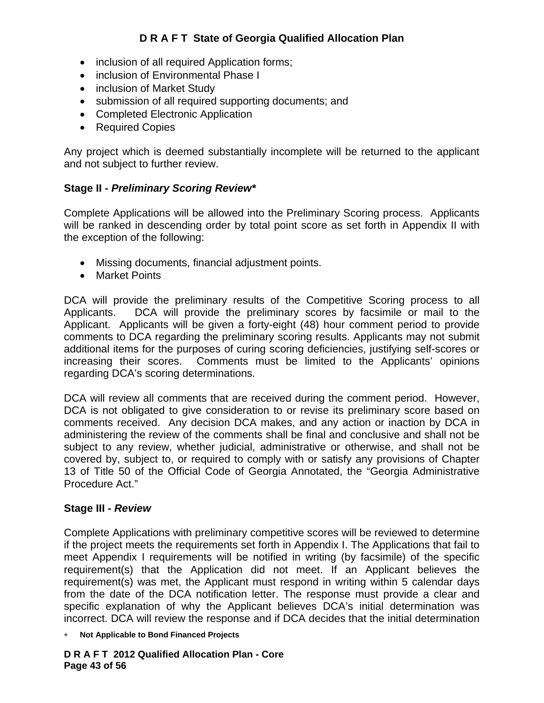- inclusion of all required Application forms;
- inclusion of Environmental Phase I
- inclusion of Market Study
- submission of all required supporting documents; and
- Completed Electronic Application
- Required Copies

Any project which is deemed substantially incomplete will be returned to the applicant and not subject to further review.

## **Stage II -** *Preliminary Scoring Review\**

Complete Applications will be allowed into the Preliminary Scoring process. Applicants will be ranked in descending order by total point score as set forth in Appendix II with the exception of the following:

- Missing documents, financial adjustment points.
- Market Points

DCA will provide the preliminary results of the Competitive Scoring process to all Applicants. DCA will provide the preliminary scores by facsimile or mail to the Applicant. Applicants will be given a forty-eight (48) hour comment period to provide comments to DCA regarding the preliminary scoring results. Applicants may not submit additional items for the purposes of curing scoring deficiencies, justifying self-scores or increasing their scores. Comments must be limited to the Applicants' opinions regarding DCA's scoring determinations.

DCA will review all comments that are received during the comment period. However, DCA is not obligated to give consideration to or revise its preliminary score based on comments received. Any decision DCA makes, and any action or inaction by DCA in administering the review of the comments shall be final and conclusive and shall not be subject to any review, whether judicial, administrative or otherwise, and shall not be covered by, subject to, or required to comply with or satisfy any provisions of Chapter 13 of Title 50 of the Official Code of Georgia Annotated, the "Georgia Administrative Procedure Act."

## **Stage III -** *Review*

Complete Applications with preliminary competitive scores will be reviewed to determine if the project meets the requirements set forth in Appendix I. The Applications that fail to meet Appendix I requirements will be notified in writing (by facsimile) of the specific requirement(s) that the Application did not meet. If an Applicant believes the requirement(s) was met, the Applicant must respond in writing within 5 calendar days from the date of the DCA notification letter. The response must provide a clear and specific explanation of why the Applicant believes DCA's initial determination was incorrect. DCA will review the response and if DCA decides that the initial determination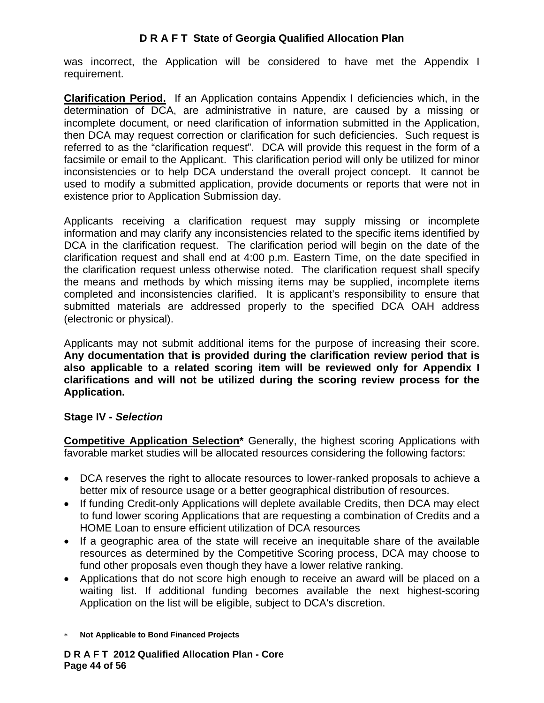was incorrect, the Application will be considered to have met the Appendix I requirement.

**Clarification Period.** If an Application contains Appendix I deficiencies which, in the determination of DCA, are administrative in nature, are caused by a missing or incomplete document, or need clarification of information submitted in the Application, then DCA may request correction or clarification for such deficiencies. Such request is referred to as the "clarification request". DCA will provide this request in the form of a facsimile or email to the Applicant. This clarification period will only be utilized for minor inconsistencies or to help DCA understand the overall project concept. It cannot be used to modify a submitted application, provide documents or reports that were not in existence prior to Application Submission day.

Applicants receiving a clarification request may supply missing or incomplete information and may clarify any inconsistencies related to the specific items identified by DCA in the clarification request. The clarification period will begin on the date of the clarification request and shall end at 4:00 p.m. Eastern Time, on the date specified in the clarification request unless otherwise noted. The clarification request shall specify the means and methods by which missing items may be supplied, incomplete items completed and inconsistencies clarified. It is applicant's responsibility to ensure that submitted materials are addressed properly to the specified DCA OAH address (electronic or physical).

Applicants may not submit additional items for the purpose of increasing their score. **Any documentation that is provided during the clarification review period that is also applicable to a related scoring item will be reviewed only for Appendix I clarifications and will not be utilized during the scoring review process for the Application.** 

## **Stage IV -** *Selection*

**Competitive Application Selection\*** Generally, the highest scoring Applications with favorable market studies will be allocated resources considering the following factors:

- DCA reserves the right to allocate resources to lower-ranked proposals to achieve a better mix of resource usage or a better geographical distribution of resources.
- If funding Credit-only Applications will deplete available Credits, then DCA may elect to fund lower scoring Applications that are requesting a combination of Credits and a HOME Loan to ensure efficient utilization of DCA resources
- If a geographic area of the state will receive an inequitable share of the available resources as determined by the Competitive Scoring process, DCA may choose to fund other proposals even though they have a lower relative ranking.
- Applications that do not score high enough to receive an award will be placed on a waiting list. If additional funding becomes available the next highest-scoring Application on the list will be eligible, subject to DCA's discretion.

<sup>∗</sup> **Not Applicable to Bond Financed Projects**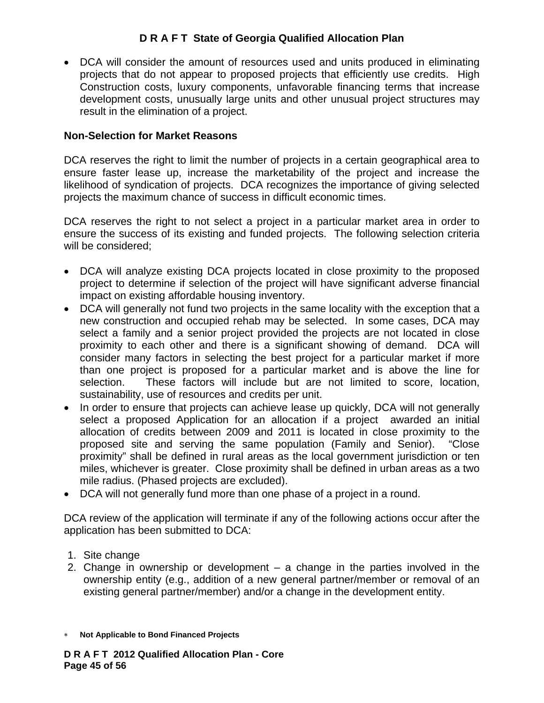• DCA will consider the amount of resources used and units produced in eliminating projects that do not appear to proposed projects that efficiently use credits. High Construction costs, luxury components, unfavorable financing terms that increase development costs, unusually large units and other unusual project structures may result in the elimination of a project.

### **Non-Selection for Market Reasons**

DCA reserves the right to limit the number of projects in a certain geographical area to ensure faster lease up, increase the marketability of the project and increase the likelihood of syndication of projects. DCA recognizes the importance of giving selected projects the maximum chance of success in difficult economic times.

DCA reserves the right to not select a project in a particular market area in order to ensure the success of its existing and funded projects. The following selection criteria will be considered;

- DCA will analyze existing DCA projects located in close proximity to the proposed project to determine if selection of the project will have significant adverse financial impact on existing affordable housing inventory.
- DCA will generally not fund two projects in the same locality with the exception that a new construction and occupied rehab may be selected. In some cases, DCA may select a family and a senior project provided the projects are not located in close proximity to each other and there is a significant showing of demand. DCA will consider many factors in selecting the best project for a particular market if more than one project is proposed for a particular market and is above the line for selection. These factors will include but are not limited to score, location, sustainability, use of resources and credits per unit.
- In order to ensure that projects can achieve lease up quickly, DCA will not generally select a proposed Application for an allocation if a project awarded an initial allocation of credits between 2009 and 2011 is located in close proximity to the proposed site and serving the same population (Family and Senior). "Close proximity" shall be defined in rural areas as the local government jurisdiction or ten miles, whichever is greater. Close proximity shall be defined in urban areas as a two mile radius. (Phased projects are excluded).
- DCA will not generally fund more than one phase of a project in a round.

DCA review of the application will terminate if any of the following actions occur after the application has been submitted to DCA:

- 1. Site change
- 2. Change in ownership or development a change in the parties involved in the ownership entity (e.g., addition of a new general partner/member or removal of an existing general partner/member) and/or a change in the development entity.
- ∗ **Not Applicable to Bond Financed Projects**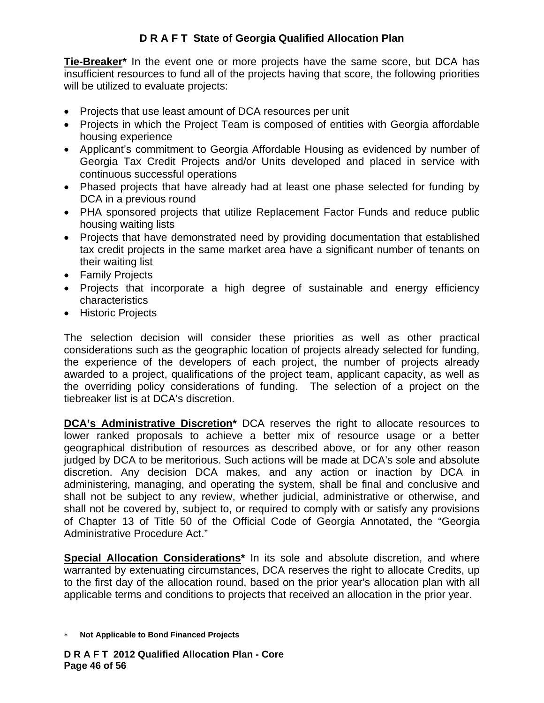**Tie-Breaker\*** In the event one or more projects have the same score, but DCA has insufficient resources to fund all of the projects having that score, the following priorities will be utilized to evaluate projects:

- Projects that use least amount of DCA resources per unit
- Projects in which the Project Team is composed of entities with Georgia affordable housing experience
- Applicant's commitment to Georgia Affordable Housing as evidenced by number of Georgia Tax Credit Projects and/or Units developed and placed in service with continuous successful operations
- Phased projects that have already had at least one phase selected for funding by DCA in a previous round
- PHA sponsored projects that utilize Replacement Factor Funds and reduce public housing waiting lists
- Projects that have demonstrated need by providing documentation that established tax credit projects in the same market area have a significant number of tenants on their waiting list
- Family Projects
- Projects that incorporate a high degree of sustainable and energy efficiency characteristics
- Historic Projects

The selection decision will consider these priorities as well as other practical considerations such as the geographic location of projects already selected for funding, the experience of the developers of each project, the number of projects already awarded to a project, qualifications of the project team, applicant capacity, as well as the overriding policy considerations of funding. The selection of a project on the tiebreaker list is at DCA's discretion.

**DCA's Administrative Discretion\*** DCA reserves the right to allocate resources to lower ranked proposals to achieve a better mix of resource usage or a better geographical distribution of resources as described above, or for any other reason judged by DCA to be meritorious. Such actions will be made at DCA's sole and absolute discretion. Any decision DCA makes, and any action or inaction by DCA in administering, managing, and operating the system, shall be final and conclusive and shall not be subject to any review, whether judicial, administrative or otherwise, and shall not be covered by, subject to, or required to comply with or satisfy any provisions of Chapter 13 of Title 50 of the Official Code of Georgia Annotated, the "Georgia Administrative Procedure Act."

**Special Allocation Considerations\*** In its sole and absolute discretion, and where warranted by extenuating circumstances, DCA reserves the right to allocate Credits, up to the first day of the allocation round, based on the prior year's allocation plan with all applicable terms and conditions to projects that received an allocation in the prior year.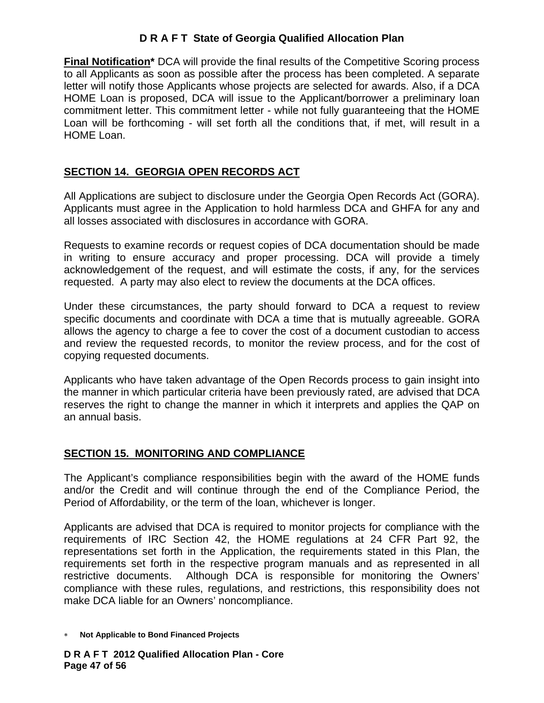**Final Notification\*** DCA will provide the final results of the Competitive Scoring process to all Applicants as soon as possible after the process has been completed. A separate letter will notify those Applicants whose projects are selected for awards. Also, if a DCA HOME Loan is proposed, DCA will issue to the Applicant/borrower a preliminary loan commitment letter. This commitment letter - while not fully guaranteeing that the HOME Loan will be forthcoming - will set forth all the conditions that, if met, will result in a HOME Loan.

# **SECTION 14. GEORGIA OPEN RECORDS ACT**

All Applications are subject to disclosure under the Georgia Open Records Act (GORA). Applicants must agree in the Application to hold harmless DCA and GHFA for any and all losses associated with disclosures in accordance with GORA.

Requests to examine records or request copies of DCA documentation should be made in writing to ensure accuracy and proper processing. DCA will provide a timely acknowledgement of the request, and will estimate the costs, if any, for the services requested. A party may also elect to review the documents at the DCA offices.

Under these circumstances, the party should forward to DCA a request to review specific documents and coordinate with DCA a time that is mutually agreeable. GORA allows the agency to charge a fee to cover the cost of a document custodian to access and review the requested records, to monitor the review process, and for the cost of copying requested documents.

Applicants who have taken advantage of the Open Records process to gain insight into the manner in which particular criteria have been previously rated, are advised that DCA reserves the right to change the manner in which it interprets and applies the QAP on an annual basis.

## **SECTION 15. MONITORING AND COMPLIANCE**

The Applicant's compliance responsibilities begin with the award of the HOME funds and/or the Credit and will continue through the end of the Compliance Period, the Period of Affordability, or the term of the loan, whichever is longer.

Applicants are advised that DCA is required to monitor projects for compliance with the requirements of IRC Section 42, the HOME regulations at 24 CFR Part 92, the representations set forth in the Application, the requirements stated in this Plan, the requirements set forth in the respective program manuals and as represented in all restrictive documents. Although DCA is responsible for monitoring the Owners' compliance with these rules, regulations, and restrictions, this responsibility does not make DCA liable for an Owners' noncompliance.

<sup>∗</sup> **Not Applicable to Bond Financed Projects**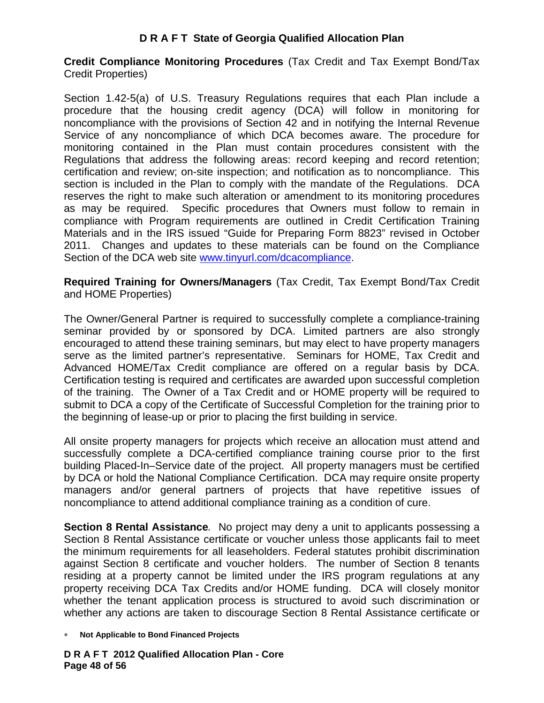**Credit Compliance Monitoring Procedures** (Tax Credit and Tax Exempt Bond/Tax Credit Properties)

Section 1.42-5(a) of U.S. Treasury Regulations requires that each Plan include a procedure that the housing credit agency (DCA) will follow in monitoring for noncompliance with the provisions of Section 42 and in notifying the Internal Revenue Service of any noncompliance of which DCA becomes aware. The procedure for monitoring contained in the Plan must contain procedures consistent with the Regulations that address the following areas: record keeping and record retention; certification and review; on-site inspection; and notification as to noncompliance. This section is included in the Plan to comply with the mandate of the Regulations. DCA reserves the right to make such alteration or amendment to its monitoring procedures as may be required. Specific procedures that Owners must follow to remain in compliance with Program requirements are outlined in Credit Certification Training Materials and in the IRS issued "Guide for Preparing Form 8823" revised in October 2011. Changes and updates to these materials can be found on the Compliance Section of the DCA web site www.tinyurl.com/dcacompliance.

**Required Training for Owners/Managers** (Tax Credit, Tax Exempt Bond/Tax Credit and HOME Properties)

The Owner/General Partner is required to successfully complete a compliance-training seminar provided by or sponsored by DCA. Limited partners are also strongly encouraged to attend these training seminars, but may elect to have property managers serve as the limited partner's representative. Seminars for HOME, Tax Credit and Advanced HOME/Tax Credit compliance are offered on a regular basis by DCA. Certification testing is required and certificates are awarded upon successful completion of the training. The Owner of a Tax Credit and or HOME property will be required to submit to DCA a copy of the Certificate of Successful Completion for the training prior to the beginning of lease-up or prior to placing the first building in service.

All onsite property managers for projects which receive an allocation must attend and successfully complete a DCA-certified compliance training course prior to the first building Placed-In–Service date of the project. All property managers must be certified by DCA or hold the National Compliance Certification. DCA may require onsite property managers and/or general partners of projects that have repetitive issues of noncompliance to attend additional compliance training as a condition of cure.

**Section 8 Rental Assistance***.* No project may deny a unit to applicants possessing a Section 8 Rental Assistance certificate or voucher unless those applicants fail to meet the minimum requirements for all leaseholders. Federal statutes prohibit discrimination against Section 8 certificate and voucher holders. The number of Section 8 tenants residing at a property cannot be limited under the IRS program regulations at any property receiving DCA Tax Credits and/or HOME funding. DCA will closely monitor whether the tenant application process is structured to avoid such discrimination or whether any actions are taken to discourage Section 8 Rental Assistance certificate or

<sup>∗</sup> **Not Applicable to Bond Financed Projects**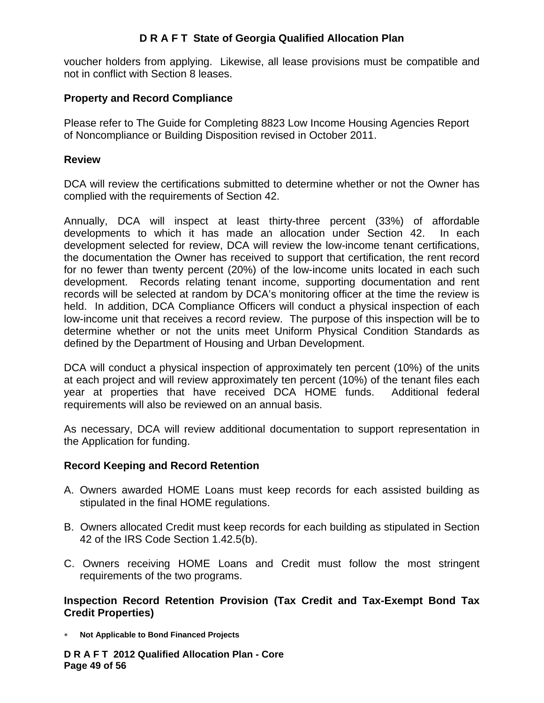voucher holders from applying. Likewise, all lease provisions must be compatible and not in conflict with Section 8 leases.

#### **Property and Record Compliance**

Please refer to The Guide for Completing 8823 Low Income Housing Agencies Report of Noncompliance or Building Disposition revised in October 2011.

#### **Review**

DCA will review the certifications submitted to determine whether or not the Owner has complied with the requirements of Section 42.

Annually, DCA will inspect at least thirty-three percent (33%) of affordable developments to which it has made an allocation under Section 42. In each development selected for review, DCA will review the low-income tenant certifications, the documentation the Owner has received to support that certification, the rent record for no fewer than twenty percent (20%) of the low-income units located in each such development. Records relating tenant income, supporting documentation and rent records will be selected at random by DCA's monitoring officer at the time the review is held. In addition, DCA Compliance Officers will conduct a physical inspection of each low-income unit that receives a record review. The purpose of this inspection will be to determine whether or not the units meet Uniform Physical Condition Standards as defined by the Department of Housing and Urban Development.

DCA will conduct a physical inspection of approximately ten percent (10%) of the units at each project and will review approximately ten percent (10%) of the tenant files each year at properties that have received DCA HOME funds. Additional federal requirements will also be reviewed on an annual basis.

As necessary, DCA will review additional documentation to support representation in the Application for funding.

#### **Record Keeping and Record Retention**

- A. Owners awarded HOME Loans must keep records for each assisted building as stipulated in the final HOME regulations.
- B. Owners allocated Credit must keep records for each building as stipulated in Section 42 of the IRS Code Section 1.42.5(b).
- C. Owners receiving HOME Loans and Credit must follow the most stringent requirements of the two programs.

#### **Inspection Record Retention Provision (Tax Credit and Tax-Exempt Bond Tax Credit Properties)**

∗ **Not Applicable to Bond Financed Projects** 

**D R A F T 2012 Qualified Allocation Plan - Core Page 49 of 56**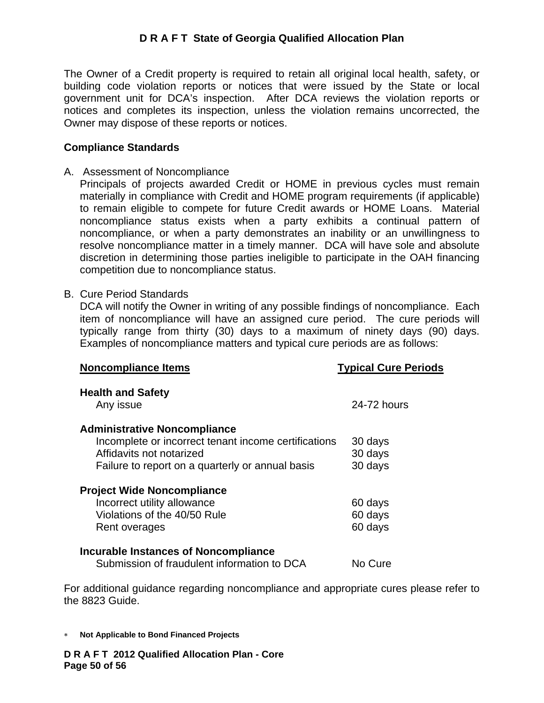The Owner of a Credit property is required to retain all original local health, safety, or building code violation reports or notices that were issued by the State or local government unit for DCA's inspection. After DCA reviews the violation reports or notices and completes its inspection, unless the violation remains uncorrected, the Owner may dispose of these reports or notices.

#### **Compliance Standards**

A. Assessment of Noncompliance

Principals of projects awarded Credit or HOME in previous cycles must remain materially in compliance with Credit and HOME program requirements (if applicable) to remain eligible to compete for future Credit awards or HOME Loans. Material noncompliance status exists when a party exhibits a continual pattern of noncompliance, or when a party demonstrates an inability or an unwillingness to resolve noncompliance matter in a timely manner. DCA will have sole and absolute discretion in determining those parties ineligible to participate in the OAH financing competition due to noncompliance status.

#### B. Cure Period Standards

DCA will notify the Owner in writing of any possible findings of noncompliance. Each item of noncompliance will have an assigned cure period. The cure periods will typically range from thirty (30) days to a maximum of ninety days (90) days. Examples of noncompliance matters and typical cure periods are as follows:

| <b>Noncompliance Items</b>                           | <b>Typical Cure Periods</b> |
|------------------------------------------------------|-----------------------------|
| <b>Health and Safety</b><br>Any issue                | 24-72 hours                 |
| <b>Administrative Noncompliance</b>                  |                             |
| Incomplete or incorrect tenant income certifications | 30 days                     |
| Affidavits not notarized                             | 30 days                     |
| Failure to report on a quarterly or annual basis     | 30 days                     |
| <b>Project Wide Noncompliance</b>                    |                             |
| Incorrect utility allowance                          | 60 days                     |
| Violations of the 40/50 Rule                         | 60 days                     |
| Rent overages                                        | 60 days                     |
| Incurable Instances of Noncompliance                 |                             |
| Submission of fraudulent information to DCA          | No Cure                     |
|                                                      |                             |

For additional guidance regarding noncompliance and appropriate cures please refer to the 8823 Guide.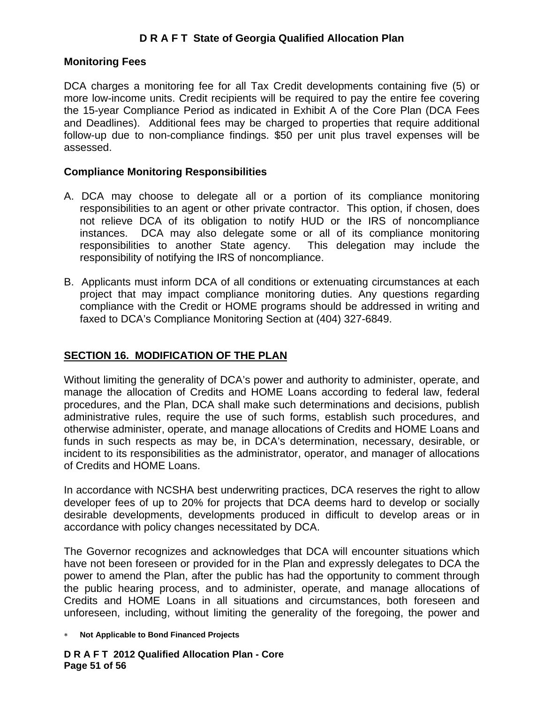#### **Monitoring Fees**

DCA charges a monitoring fee for all Tax Credit developments containing five (5) or more low-income units. Credit recipients will be required to pay the entire fee covering the 15-year Compliance Period as indicated in Exhibit A of the Core Plan (DCA Fees and Deadlines). Additional fees may be charged to properties that require additional follow-up due to non-compliance findings. \$50 per unit plus travel expenses will be assessed.

#### **Compliance Monitoring Responsibilities**

- A. DCA may choose to delegate all or a portion of its compliance monitoring responsibilities to an agent or other private contractor. This option, if chosen, does not relieve DCA of its obligation to notify HUD or the IRS of noncompliance instances. DCA may also delegate some or all of its compliance monitoring responsibilities to another State agency. This delegation may include the responsibility of notifying the IRS of noncompliance.
- B. Applicants must inform DCA of all conditions or extenuating circumstances at each project that may impact compliance monitoring duties. Any questions regarding compliance with the Credit or HOME programs should be addressed in writing and faxed to DCA's Compliance Monitoring Section at (404) 327-6849.

### **SECTION 16. MODIFICATION OF THE PLAN**

Without limiting the generality of DCA's power and authority to administer, operate, and manage the allocation of Credits and HOME Loans according to federal law, federal procedures, and the Plan, DCA shall make such determinations and decisions, publish administrative rules, require the use of such forms, establish such procedures, and otherwise administer, operate, and manage allocations of Credits and HOME Loans and funds in such respects as may be, in DCA's determination, necessary, desirable, or incident to its responsibilities as the administrator, operator, and manager of allocations of Credits and HOME Loans.

In accordance with NCSHA best underwriting practices, DCA reserves the right to allow developer fees of up to 20% for projects that DCA deems hard to develop or socially desirable developments, developments produced in difficult to develop areas or in accordance with policy changes necessitated by DCA.

The Governor recognizes and acknowledges that DCA will encounter situations which have not been foreseen or provided for in the Plan and expressly delegates to DCA the power to amend the Plan, after the public has had the opportunity to comment through the public hearing process, and to administer, operate, and manage allocations of Credits and HOME Loans in all situations and circumstances, both foreseen and unforeseen, including, without limiting the generality of the foregoing, the power and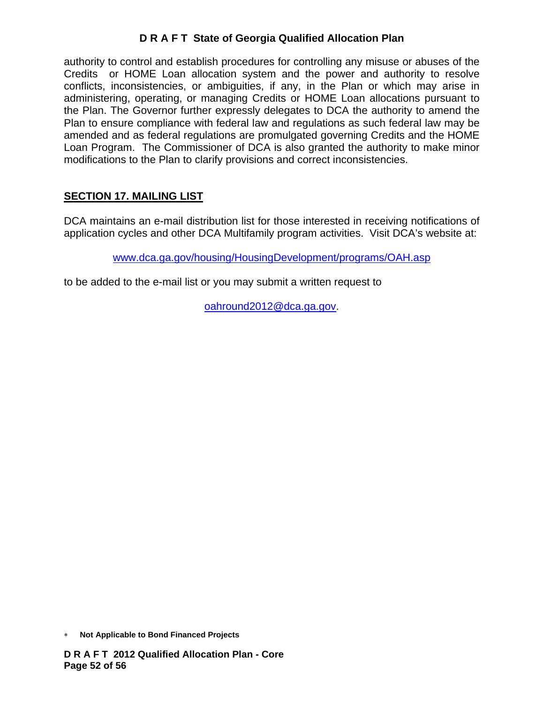authority to control and establish procedures for controlling any misuse or abuses of the Credits or HOME Loan allocation system and the power and authority to resolve conflicts, inconsistencies, or ambiguities, if any, in the Plan or which may arise in administering, operating, or managing Credits or HOME Loan allocations pursuant to the Plan. The Governor further expressly delegates to DCA the authority to amend the Plan to ensure compliance with federal law and regulations as such federal law may be amended and as federal regulations are promulgated governing Credits and the HOME Loan Program. The Commissioner of DCA is also granted the authority to make minor modifications to the Plan to clarify provisions and correct inconsistencies.

# **SECTION 17. MAILING LIST**

DCA maintains an e-mail distribution list for those interested in receiving notifications of application cycles and other DCA Multifamily program activities. Visit DCA's website at:

www.dca.ga.gov/housing/HousingDevelopment/programs/OAH.asp

to be added to the e-mail list or you may submit a written request to

oahround2012@dca.ga.gov.

<sup>∗</sup> **Not Applicable to Bond Financed Projects**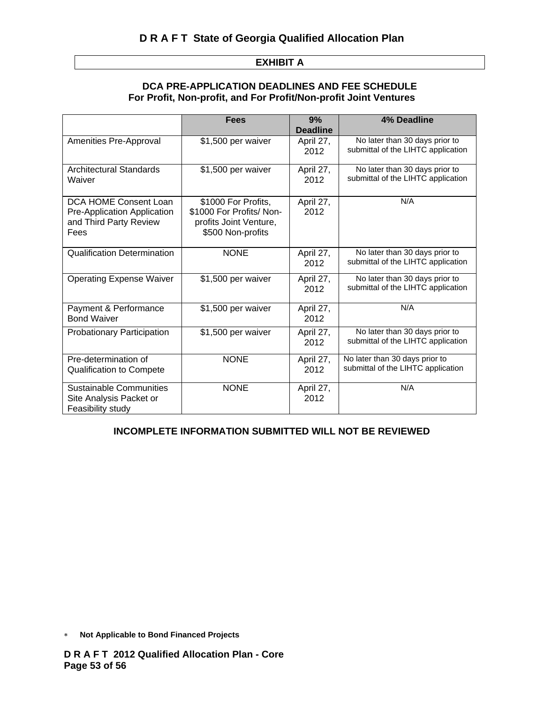#### **EXHIBIT A**

#### **DCA PRE-APPLICATION DEADLINES AND FEE SCHEDULE For Profit, Non-profit, and For Profit/Non-profit Joint Ventures**

|                                                                                        | <b>Fees</b>                                                                                    | 9%<br><b>Deadline</b> | 4% Deadline                                                          |
|----------------------------------------------------------------------------------------|------------------------------------------------------------------------------------------------|-----------------------|----------------------------------------------------------------------|
| Amenities Pre-Approval                                                                 | \$1,500 per waiver                                                                             | April 27,<br>2012     | No later than 30 days prior to<br>submittal of the LIHTC application |
| <b>Architectural Standards</b><br>Waiver                                               | \$1,500 per waiver                                                                             | April 27,<br>2012     | No later than 30 days prior to<br>submittal of the LIHTC application |
| DCA HOME Consent Loan<br>Pre-Application Application<br>and Third Party Review<br>Fees | \$1000 For Profits,<br>\$1000 For Profits/ Non-<br>profits Joint Venture,<br>\$500 Non-profits | April 27,<br>2012     | N/A                                                                  |
| <b>Qualification Determination</b>                                                     | <b>NONE</b>                                                                                    | April 27,<br>2012     | No later than 30 days prior to<br>submittal of the LIHTC application |
| <b>Operating Expense Waiver</b>                                                        | \$1,500 per waiver                                                                             | April 27,<br>2012     | No later than 30 days prior to<br>submittal of the LIHTC application |
| Payment & Performance<br><b>Bond Waiver</b>                                            | \$1,500 per waiver                                                                             | April 27,<br>2012     | N/A                                                                  |
| <b>Probationary Participation</b>                                                      | \$1,500 per waiver                                                                             | April 27,<br>2012     | No later than 30 days prior to<br>submittal of the LIHTC application |
| Pre-determination of<br><b>Qualification to Compete</b>                                | <b>NONE</b>                                                                                    | April 27,<br>2012     | No later than 30 days prior to<br>submittal of the LIHTC application |
| <b>Sustainable Communities</b><br>Site Analysis Packet or<br>Feasibility study         | <b>NONE</b>                                                                                    | April 27,<br>2012     | N/A                                                                  |

#### **INCOMPLETE INFORMATION SUBMITTED WILL NOT BE REVIEWED**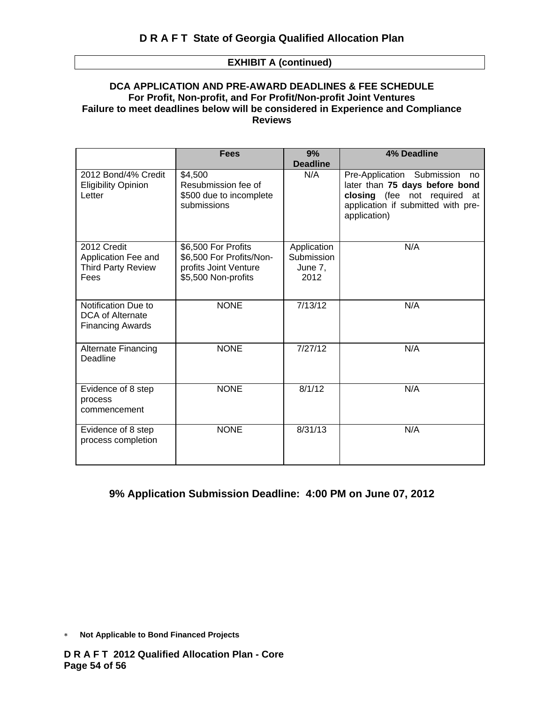#### **EXHIBIT A (continued)**

#### **DCA APPLICATION AND PRE-AWARD DEADLINES & FEE SCHEDULE For Profit, Non-profit, and For Profit/Non-profit Joint Ventures Failure to meet deadlines below will be considered in Experience and Compliance Reviews**

|                                                                         | <b>Fees</b>                                                                                     | 9%<br><b>Deadline</b>                        | <b>4% Deadline</b>                                                                                                                                       |
|-------------------------------------------------------------------------|-------------------------------------------------------------------------------------------------|----------------------------------------------|----------------------------------------------------------------------------------------------------------------------------------------------------------|
| 2012 Bond/4% Credit<br><b>Eligibility Opinion</b><br>Letter             | \$4,500<br>Resubmission fee of<br>\$500 due to incomplete<br>submissions                        | N/A                                          | Pre-Application Submission<br>no<br>later than 75 days before bond<br>closing (fee not required at<br>application if submitted with pre-<br>application) |
| 2012 Credit<br>Application Fee and<br><b>Third Party Review</b><br>Fees | \$6,500 For Profits<br>\$6,500 For Profits/Non-<br>profits Joint Venture<br>\$5,500 Non-profits | Application<br>Submission<br>June 7,<br>2012 | N/A                                                                                                                                                      |
| Notification Due to<br>DCA of Alternate<br><b>Financing Awards</b>      | <b>NONE</b>                                                                                     | 7/13/12                                      | N/A                                                                                                                                                      |
| Alternate Financing<br>Deadline                                         | <b>NONE</b>                                                                                     | 7/27/12                                      | N/A                                                                                                                                                      |
| Evidence of 8 step<br>process<br>commencement                           | <b>NONE</b>                                                                                     | 8/1/12                                       | N/A                                                                                                                                                      |
| Evidence of 8 step<br>process completion                                | <b>NONE</b>                                                                                     | 8/31/13                                      | N/A                                                                                                                                                      |

#### **9% Application Submission Deadline: 4:00 PM on June 07, 2012**

<sup>∗</sup> **Not Applicable to Bond Financed Projects**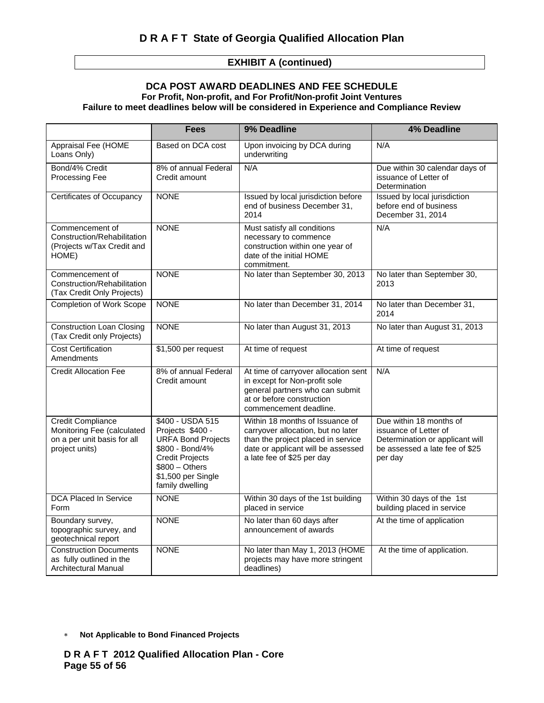#### **EXHIBIT A (continued)**

#### **DCA POST AWARD DEADLINES AND FEE SCHEDULE For Profit, Non-profit, and For Profit/Non-profit Joint Ventures Failure to meet deadlines below will be considered in Experience and Compliance Review**

|                                                                                                         | Fees                                                                                                                                                                       | 9% Deadline                                                                                                                                                                     | <b>4% Deadline</b>                                                                                                               |
|---------------------------------------------------------------------------------------------------------|----------------------------------------------------------------------------------------------------------------------------------------------------------------------------|---------------------------------------------------------------------------------------------------------------------------------------------------------------------------------|----------------------------------------------------------------------------------------------------------------------------------|
| Appraisal Fee (HOME<br>Loans Only)                                                                      | Based on DCA cost                                                                                                                                                          | Upon invoicing by DCA during<br>underwriting                                                                                                                                    | N/A                                                                                                                              |
| Bond/4% Credit<br>Processing Fee                                                                        | 8% of annual Federal<br>Credit amount                                                                                                                                      | N/A                                                                                                                                                                             | Due within 30 calendar days of<br>issuance of Letter of<br>Determination                                                         |
| Certificates of Occupancy                                                                               | <b>NONE</b>                                                                                                                                                                | Issued by local jurisdiction before<br>end of business December 31,<br>2014                                                                                                     | Issued by local jurisdiction<br>before end of business<br>December 31, 2014                                                      |
| Commencement of<br>Construction/Rehabilitation<br>(Projects w/Tax Credit and<br>HOME)                   | <b>NONE</b>                                                                                                                                                                | Must satisfy all conditions<br>necessary to commence<br>construction within one year of<br>date of the initial HOME<br>commitment.                                              | N/A                                                                                                                              |
| Commencement of<br>Construction/Rehabilitation<br>(Tax Credit Only Projects)                            | <b>NONE</b>                                                                                                                                                                | No later than September 30, 2013                                                                                                                                                | No later than September 30,<br>2013                                                                                              |
| <b>Completion of Work Scope</b>                                                                         | <b>NONE</b>                                                                                                                                                                | No later than December 31, 2014                                                                                                                                                 | No later than December 31,<br>2014                                                                                               |
| <b>Construction Loan Closing</b><br>(Tax Credit only Projects)                                          | <b>NONE</b>                                                                                                                                                                | No later than August 31, 2013                                                                                                                                                   | No later than August 31, 2013                                                                                                    |
| <b>Cost Certification</b><br>Amendments                                                                 | \$1,500 per request                                                                                                                                                        | At time of request                                                                                                                                                              | At time of request                                                                                                               |
| <b>Credit Allocation Fee</b>                                                                            | 8% of annual Federal<br>Credit amount                                                                                                                                      | At time of carryover allocation sent<br>in except for Non-profit sole<br>general partners who can submit<br>at or before construction<br>commencement deadline.                 | N/A                                                                                                                              |
| <b>Credit Compliance</b><br>Monitoring Fee (calculated<br>on a per unit basis for all<br>project units) | \$400 - USDA 515<br>Projects \$400 -<br><b>URFA Bond Projects</b><br>\$800 - Bond/4%<br><b>Credit Projects</b><br>$$800 - Others$<br>\$1,500 per Single<br>family dwelling | Within 18 months of Issuance of<br>carryover allocation, but no later<br>than the project placed in service<br>date or applicant will be assessed<br>a late fee of \$25 per day | Due within 18 months of<br>issuance of Letter of<br>Determination or applicant will<br>be assessed a late fee of \$25<br>per day |
| <b>DCA Placed In Service</b><br>Form                                                                    | <b>NONE</b>                                                                                                                                                                | Within 30 days of the 1st building<br>placed in service                                                                                                                         | Within 30 days of the 1st<br>building placed in service                                                                          |
| Boundary survey,<br>topographic survey, and<br>geotechnical report                                      | <b>NONE</b>                                                                                                                                                                | No later than 60 days after<br>announcement of awards                                                                                                                           | At the time of application                                                                                                       |
| <b>Construction Documents</b><br>as fully outlined in the<br><b>Architectural Manual</b>                | <b>NONE</b>                                                                                                                                                                | No later than May 1, 2013 (HOME<br>projects may have more stringent<br>deadlines)                                                                                               | At the time of application.                                                                                                      |